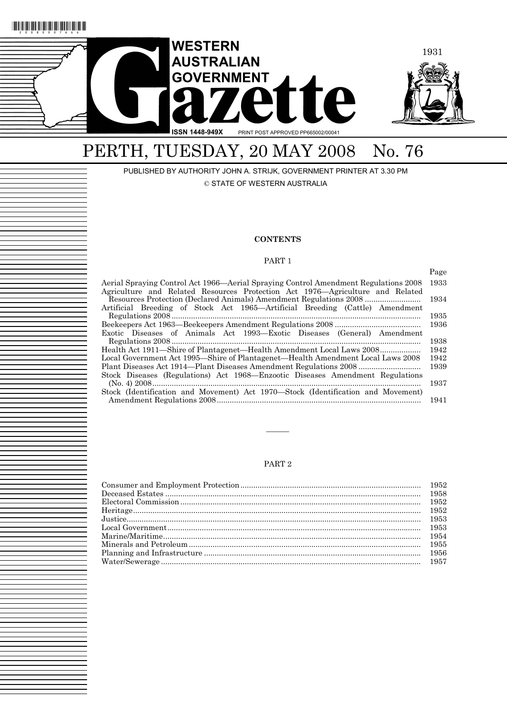

# PERTH, TUESDAY, 20 MAY 2008 No. 76

PUBLISHED BY AUTHORITY JOHN A. STRIJK, GOVERNMENT PRINTER AT 3.30 PM © STATE OF WESTERN AUSTRALIA

#### **CONTENTS**

#### PART 1

|                                                                                     | Page |
|-------------------------------------------------------------------------------------|------|
| Aerial Spraying Control Act 1966—Aerial Spraying Control Amendment Regulations 2008 | 1933 |
| Agriculture and Related Resources Protection Act 1976—Agriculture and Related       |      |
| Resources Protection (Declared Animals) Amendment Regulations 2008                  | 1934 |
| Artificial Breeding of Stock Act 1965—Artificial Breeding (Cattle) Amendment        |      |
|                                                                                     | 1935 |
|                                                                                     | 1936 |
| Exotic Diseases of Animals Act 1993—Exotic Diseases (General) Amendment             |      |
|                                                                                     | 1938 |
| Health Act 1911—Shire of Plantagenet—Health Amendment Local Laws 2008               | 1942 |
| Local Government Act 1995—Shire of Plantagenet—Health Amendment Local Laws 2008     | 1942 |
|                                                                                     | 1939 |
| Stock Diseases (Regulations) Act 1968—Enzootic Diseases Amendment Regulations       |      |
|                                                                                     | 1937 |
| Stock (Identification and Movement) Act 1970—Stock (Identification and Movement)    |      |
|                                                                                     | 1941 |

### PART 2

———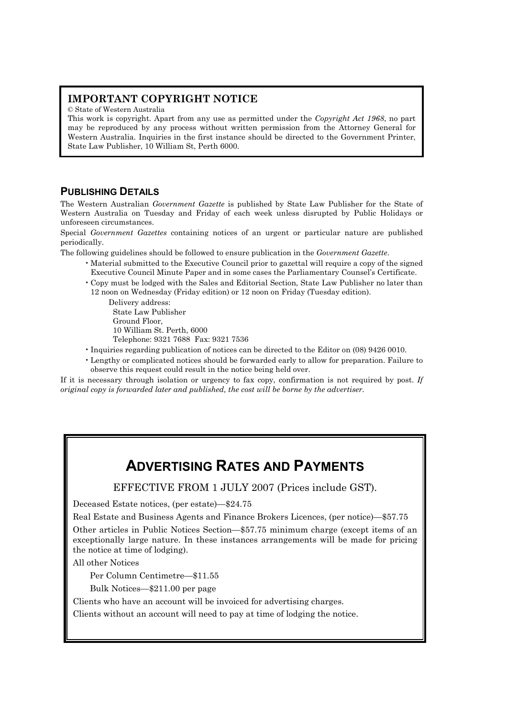## **IMPORTANT COPYRIGHT NOTICE**

© State of Western Australia

This work is copyright. Apart from any use as permitted under the *Copyright Act 1968*, no part may be reproduced by any process without written permission from the Attorney General for Western Australia. Inquiries in the first instance should be directed to the Government Printer, State Law Publisher, 10 William St, Perth 6000.

## **PUBLISHING DETAILS**

The Western Australian *Government Gazette* is published by State Law Publisher for the State of Western Australia on Tuesday and Friday of each week unless disrupted by Public Holidays or unforeseen circumstances.

Special *Government Gazettes* containing notices of an urgent or particular nature are published periodically.

The following guidelines should be followed to ensure publication in the *Government Gazette*.

- Material submitted to the Executive Council prior to gazettal will require a copy of the signed Executive Council Minute Paper and in some cases the Parliamentary Counsel's Certificate.
- Copy must be lodged with the Sales and Editorial Section, State Law Publisher no later than 12 noon on Wednesday (Friday edition) or 12 noon on Friday (Tuesday edition).

Delivery address: State Law Publisher Ground Floor, 10 William St. Perth, 6000 Telephone: 9321 7688 Fax: 9321 7536

- Inquiries regarding publication of notices can be directed to the Editor on (08) 9426 0010.
- Lengthy or complicated notices should be forwarded early to allow for preparation. Failure to observe this request could result in the notice being held over.

If it is necessary through isolation or urgency to fax copy, confirmation is not required by post. *If original copy is forwarded later and published, the cost will be borne by the advertiser.* 

## **ADVERTISING RATES AND PAYMENTS**

EFFECTIVE FROM 1 JULY 2007 (Prices include GST).

Deceased Estate notices, (per estate)—\$24.75

Real Estate and Business Agents and Finance Brokers Licences, (per notice)—\$57.75

Other articles in Public Notices Section—\$57.75 minimum charge (except items of an exceptionally large nature. In these instances arrangements will be made for pricing the notice at time of lodging).

All other Notices

Per Column Centimetre—\$11.55

Bulk Notices—\$211.00 per page

Clients who have an account will be invoiced for advertising charges.

Clients without an account will need to pay at time of lodging the notice.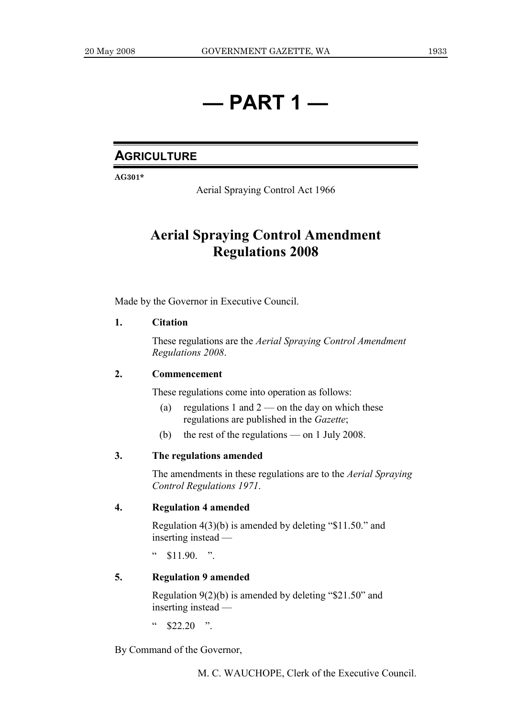## **— PART 1 —**

## **AGRICULTURE**

**AG301\*** 

Aerial Spraying Control Act 1966

## **Aerial Spraying Control Amendment Regulations 2008**

Made by the Governor in Executive Council.

## **1. Citation**

 These regulations are the *Aerial Spraying Control Amendment Regulations 2008*.

### **2. Commencement**

These regulations come into operation as follows:

- (a) regulations 1 and  $2$  on the day on which these regulations are published in the *Gazette*;
- (b) the rest of the regulations on 1 July 2008.

## **3. The regulations amended**

 The amendments in these regulations are to the *Aerial Spraying Control Regulations 1971*.

## **4. Regulation 4 amended**

 Regulation 4(3)(b) is amended by deleting "\$11.50." and inserting instead —

 $\degree$  \$11.90. ".

## **5. Regulation 9 amended**

 Regulation 9(2)(b) is amended by deleting "\$21.50" and inserting instead —

 $\degree$  \$22.20 ".

By Command of the Governor,

M. C. WAUCHOPE, Clerk of the Executive Council.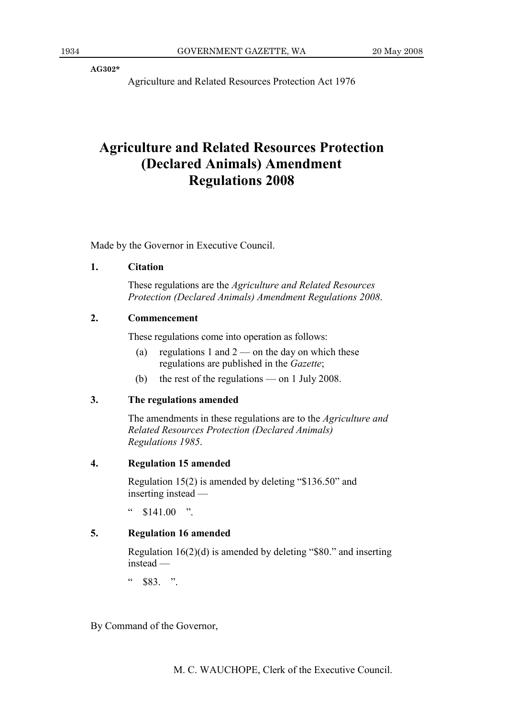**AG302\*** 

Agriculture and Related Resources Protection Act 1976

## **Agriculture and Related Resources Protection (Declared Animals) Amendment Regulations 2008**

Made by the Governor in Executive Council.

## **1. Citation**

 These regulations are the *Agriculture and Related Resources Protection (Declared Animals) Amendment Regulations 2008*.

## **2. Commencement**

These regulations come into operation as follows:

- (a) regulations 1 and  $2$  on the day on which these regulations are published in the *Gazette*;
- (b) the rest of the regulations on 1 July 2008.

### **3. The regulations amended**

 The amendments in these regulations are to the *Agriculture and Related Resources Protection (Declared Animals) Regulations 1985*.

## **4. Regulation 15 amended**

 Regulation 15(2) is amended by deleting "\$136.50" and inserting instead —

 $"$  \$141.00 ".

## **5. Regulation 16 amended**

 Regulation 16(2)(d) is amended by deleting "\$80." and inserting instead —

 $"$  \$83. ".

By Command of the Governor,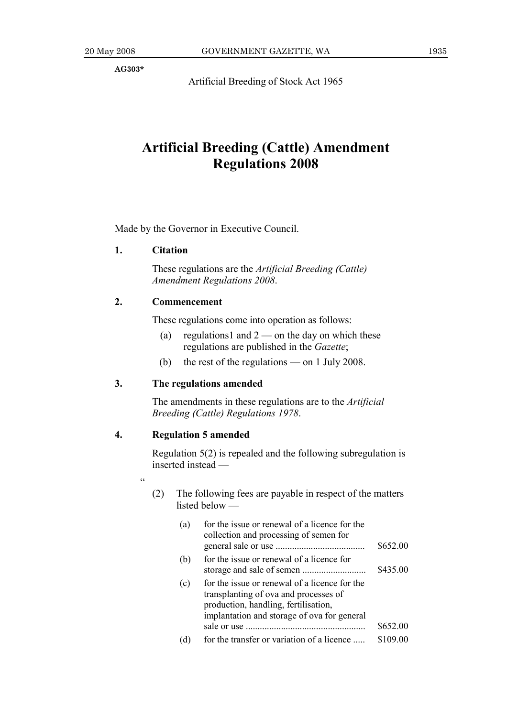**AG303\*** 

Artificial Breeding of Stock Act 1965

## **Artificial Breeding (Cattle) Amendment Regulations 2008**

Made by the Governor in Executive Council.

## **1. Citation**

 These regulations are the *Artificial Breeding (Cattle) Amendment Regulations 2008*.

### **2. Commencement**

These regulations come into operation as follows:

- (a) regulations1 and  $2$  on the day on which these regulations are published in the *Gazette*;
- (b) the rest of the regulations on 1 July 2008.

## **3. The regulations amended**

 The amendments in these regulations are to the *Artificial Breeding (Cattle) Regulations 1978*.

## **4. Regulation 5 amended**

 Regulation 5(2) is repealed and the following subregulation is inserted instead —

- .<br>cc
- (2) The following fees are payable in respect of the matters listed below —

| (a) | for the issue or renewal of a licence for the<br>collection and processing of semen for                                                                                       |          |
|-----|-------------------------------------------------------------------------------------------------------------------------------------------------------------------------------|----------|
|     |                                                                                                                                                                               | \$652.00 |
| (b) | for the issue or renewal of a licence for                                                                                                                                     |          |
|     |                                                                                                                                                                               | \$435.00 |
| (c) | for the issue or renewal of a licence for the<br>transplanting of ova and processes of<br>production, handling, fertilisation,<br>implantation and storage of ova for general |          |
|     |                                                                                                                                                                               | \$652.00 |
|     | for the transfer or variation of a licence                                                                                                                                    | \$109.00 |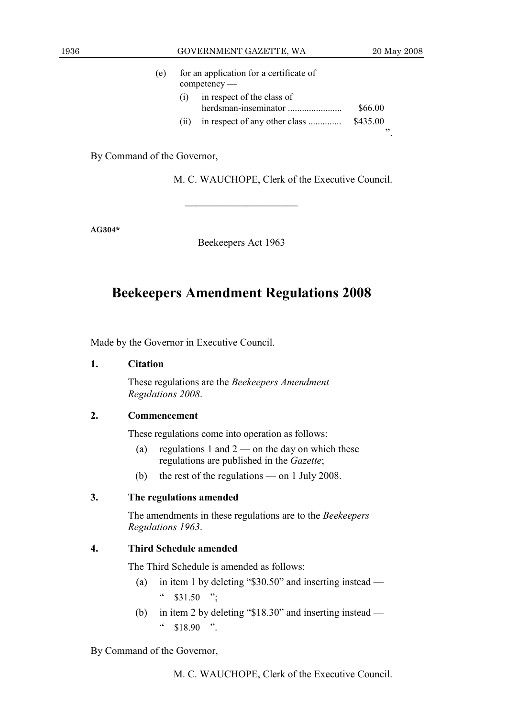| (e) |      | for an application for a certificate of<br>$\mathop{\mathrm{compactency}}$ — |                |
|-----|------|------------------------------------------------------------------------------|----------------|
|     | (1)  | in respect of the class of                                                   | \$66.00        |
|     | (11) | in respect of any other class                                                | \$435.00<br>,, |
|     |      |                                                                              |                |

By Command of the Governor,

M. C. WAUCHOPE, Clerk of the Executive Council.

**AG304\*** 

Beekeepers Act 1963

———————————

## **Beekeepers Amendment Regulations 2008**

Made by the Governor in Executive Council.

### **1. Citation**

 These regulations are the *Beekeepers Amendment Regulations 2008*.

## **2. Commencement**

These regulations come into operation as follows:

- (a) regulations 1 and  $2$  on the day on which these regulations are published in the *Gazette*;
- (b) the rest of the regulations on 1 July 2008.

## **3. The regulations amended**

 The amendments in these regulations are to the *Beekeepers Regulations 1963*.

## **4. Third Schedule amended**

The Third Schedule is amended as follows:

- (a) in item 1 by deleting "\$30.50" and inserting instead  $\degree$  \$31.50 ";
- (b) in item 2 by deleting "\$18.30" and inserting instead  $\degree$  \$18.90 ".

## By Command of the Governor,

M. C. WAUCHOPE, Clerk of the Executive Council.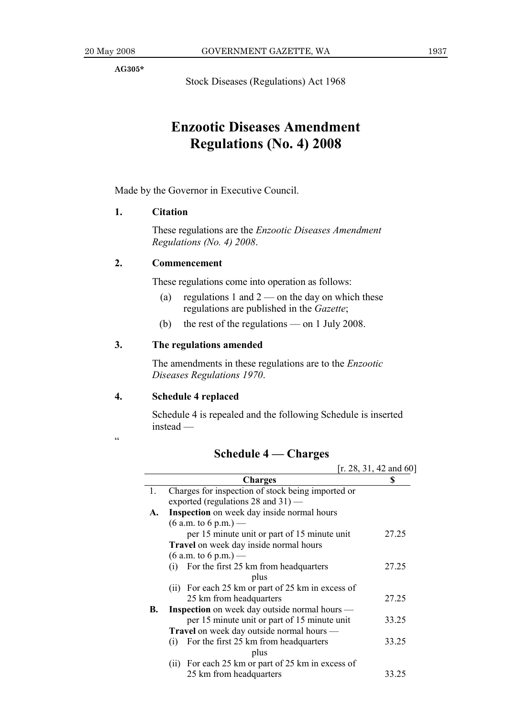**AG305\*** 

Stock Diseases (Regulations) Act 1968

## **Enzootic Diseases Amendment Regulations (No. 4) 2008**

Made by the Governor in Executive Council.

## **1. Citation**

 These regulations are the *Enzootic Diseases Amendment Regulations (No. 4) 2008*.

## **2. Commencement**

These regulations come into operation as follows:

- (a) regulations 1 and  $2$  on the day on which these regulations are published in the *Gazette*;
- (b) the rest of the regulations on 1 July 2008.

## **3. The regulations amended**

 The amendments in these regulations are to the *Enzootic Diseases Regulations 1970*.

## **4. Schedule 4 replaced**

 Schedule 4 is repealed and the following Schedule is inserted instead —

 $\ddot{\epsilon}$ 

## **Schedule 4 — Charges**

|    |                                                      | [r. 28, 31, 42, and 60] |
|----|------------------------------------------------------|-------------------------|
|    | <b>Charges</b>                                       | S                       |
| 1. | Charges for inspection of stock being imported or    |                         |
|    | exported (regulations $28$ and $31$ ) —              |                         |
| A. | <b>Inspection</b> on week day inside normal hours    |                         |
|    | $(6$ a.m. to 6 p.m.) —                               |                         |
|    | per 15 minute unit or part of 15 minute unit         | 27.25                   |
|    | <b>Travel</b> on week day inside normal hours        |                         |
|    | $(6 a.m. to 6 p.m.)$ —                               |                         |
|    | For the first 25 km from headquarters<br>(i)         | 27.25                   |
|    | plus                                                 |                         |
|    | (ii) For each 25 km or part of 25 km in excess of    |                         |
|    | 25 km from headquarters                              | 27.25                   |
| В. | <b>Inspection</b> on week day outside normal hours — |                         |
|    | per 15 minute unit or part of 15 minute unit         | 33.25                   |
|    | Travel on week day outside normal hours —            |                         |
|    | For the first 25 km from headquarters<br>(i)         | 33.25                   |
|    | plus                                                 |                         |
|    | (ii) For each 25 km or part of 25 km in excess of    |                         |
|    | 25 km from headquarters                              | 33.25                   |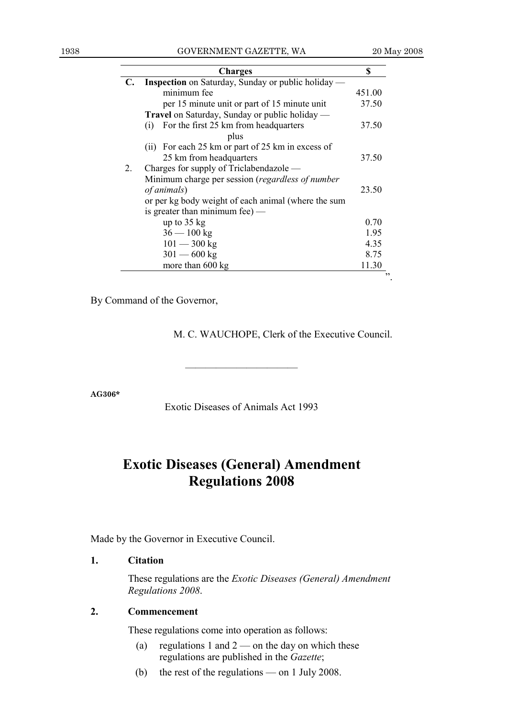| <b>Inspection</b> on Saturday, Sunday or public holiday —<br>minimum fee<br>per 15 minute unit or part of 15 minute unit<br><b>Travel</b> on Saturday, Sunday or public holiday —<br>For the first 25 km from headquarters<br>(i) | 451.00<br>37.50  |
|-----------------------------------------------------------------------------------------------------------------------------------------------------------------------------------------------------------------------------------|------------------|
|                                                                                                                                                                                                                                   |                  |
|                                                                                                                                                                                                                                   |                  |
|                                                                                                                                                                                                                                   |                  |
|                                                                                                                                                                                                                                   |                  |
|                                                                                                                                                                                                                                   | 37.50            |
| plus                                                                                                                                                                                                                              |                  |
| (ii) For each 25 km or part of 25 km in excess of                                                                                                                                                                                 |                  |
| 25 km from headquarters                                                                                                                                                                                                           | 37.50            |
| Charges for supply of Triclabendazole —                                                                                                                                                                                           |                  |
| Minimum charge per session (regardless of number                                                                                                                                                                                  |                  |
| of animals)                                                                                                                                                                                                                       | 23.50            |
| or per kg body weight of each animal (where the sum                                                                                                                                                                               |                  |
| is greater than minimum fee $)$ —                                                                                                                                                                                                 |                  |
| up to $35 \text{ kg}$                                                                                                                                                                                                             | 0.70             |
| $36 - 100$ kg                                                                                                                                                                                                                     | 1.95             |
| $101 - 300$ kg                                                                                                                                                                                                                    | 4.35             |
| $301 - 600$ kg                                                                                                                                                                                                                    | 8.75             |
|                                                                                                                                                                                                                                   | 11.30            |
|                                                                                                                                                                                                                                   | more than 600 kg |

By Command of the Governor,

M. C. WAUCHOPE, Clerk of the Executive Council.

**AG306\*** 

Exotic Diseases of Animals Act 1993

———————————

## **Exotic Diseases (General) Amendment Regulations 2008**

Made by the Governor in Executive Council.

## **1. Citation**

 These regulations are the *Exotic Diseases (General) Amendment Regulations 2008*.

## **2. Commencement**

These regulations come into operation as follows:

- (a) regulations 1 and  $2$  on the day on which these regulations are published in the *Gazette*;
- (b) the rest of the regulations on 1 July 2008.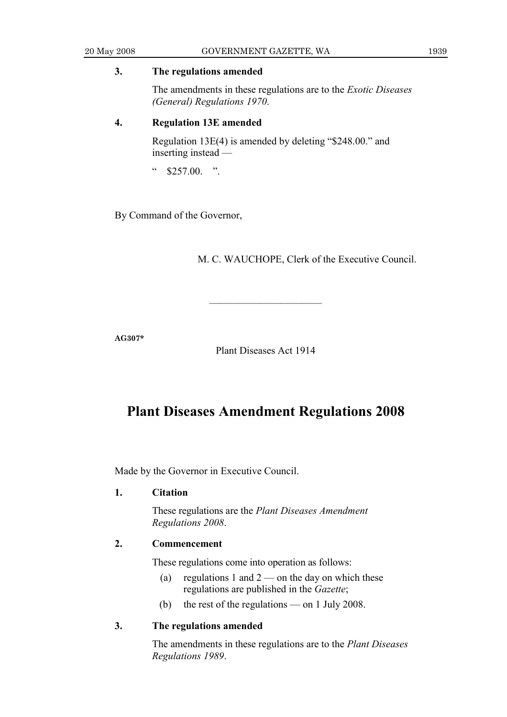## **3. The regulations amended**

 The amendments in these regulations are to the *Exotic Diseases (General) Regulations 1970*.

## **4. Regulation 13E amended**

 Regulation 13E(4) is amended by deleting "\$248.00." and inserting instead —

" \$257.00. ".

By Command of the Governor,

M. C. WAUCHOPE, Clerk of the Executive Council.

**AG307\*** 

Plant Diseases Act 1914

———————————

## **Plant Diseases Amendment Regulations 2008**

Made by the Governor in Executive Council.

### **1. Citation**

 These regulations are the *Plant Diseases Amendment Regulations 2008*.

### **2. Commencement**

These regulations come into operation as follows:

- (a) regulations 1 and  $2$  on the day on which these regulations are published in the *Gazette*;
- (b) the rest of the regulations on 1 July 2008.

## **3. The regulations amended**

 The amendments in these regulations are to the *Plant Diseases Regulations 1989*.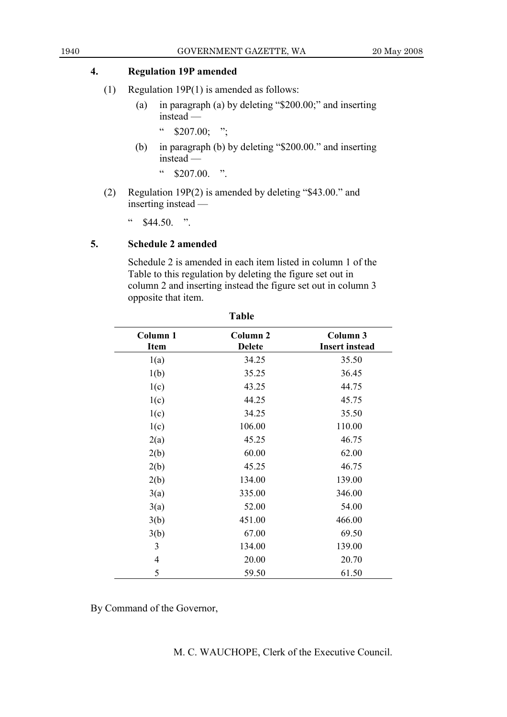## **4. Regulation 19P amended**

- (1) Regulation 19P(1) is amended as follows:
	- (a) in paragraph (a) by deleting "\$200.00;" and inserting instead —
		- $\degree$  \$207.00; ";
	- (b) in paragraph (b) by deleting "\$200.00." and inserting instead —

 $\frac{1}{2}$  \$207.00. ".

 (2) Regulation 19P(2) is amended by deleting "\$43.00." and inserting instead —

 $\cdot$  \$44.50. ".

## **5. Schedule 2 amended**

 Schedule 2 is amended in each item listed in column 1 of the Table to this regulation by deleting the figure set out in column 2 and inserting instead the figure set out in column 3 opposite that item.

**Table** 

| Column 1<br><b>Item</b> | Column <sub>2</sub><br><b>Delete</b> | Column 3<br><b>Insert instead</b> |  |
|-------------------------|--------------------------------------|-----------------------------------|--|
| 1(a)                    | 34.25                                | 35.50                             |  |
| 1(b)                    | 35.25                                | 36.45                             |  |
| 1(c)                    | 43.25                                | 44.75                             |  |
| 1(c)                    | 44.25                                | 45.75                             |  |
| 1(c)                    | 34.25                                | 35.50                             |  |
| 1(c)                    | 106.00                               | 110.00                            |  |
| 2(a)                    | 45.25                                | 46.75                             |  |
| 2(b)                    | 60.00                                | 62.00                             |  |
| 2(b)                    | 45.25                                | 46.75                             |  |
| 2(b)                    | 134.00                               | 139.00                            |  |
| 3(a)                    | 335.00                               | 346.00                            |  |
| 3(a)                    | 52.00                                | 54.00                             |  |
| 3(b)                    | 451.00                               | 466.00                            |  |
| 3(b)                    | 67.00                                | 69.50                             |  |
| 3                       | 134.00                               | 139.00                            |  |
| $\overline{4}$          | 20.00                                | 20.70                             |  |
| 5                       | 59.50                                | 61.50                             |  |

By Command of the Governor,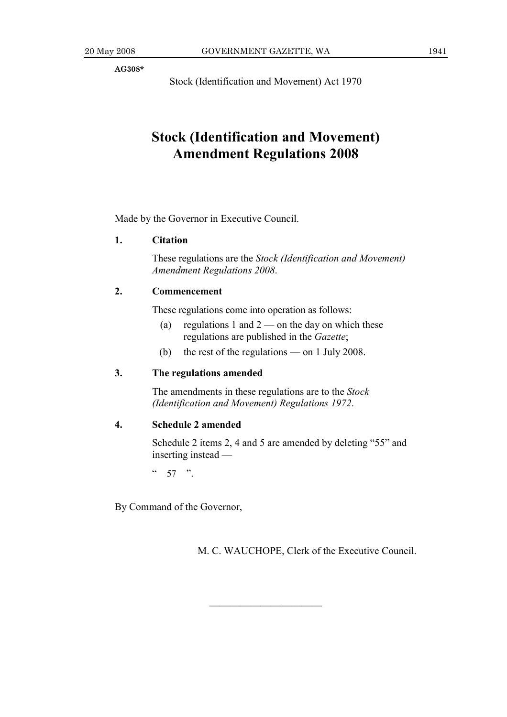**AG308\*** 

Stock (Identification and Movement) Act 1970

## **Stock (Identification and Movement) Amendment Regulations 2008**

Made by the Governor in Executive Council.

## **1. Citation**

 These regulations are the *Stock (Identification and Movement) Amendment Regulations 2008*.

### **2. Commencement**

These regulations come into operation as follows:

- (a) regulations 1 and  $2$  on the day on which these regulations are published in the *Gazette*;
- (b) the rest of the regulations on 1 July 2008.

### **3. The regulations amended**

 The amendments in these regulations are to the *Stock (Identification and Movement) Regulations 1972*.

## **4. Schedule 2 amended**

 Schedule 2 items 2, 4 and 5 are amended by deleting "55" and inserting instead —

———————————

 $\frac{1}{2}$  57 ".

By Command of the Governor,

M. C. WAUCHOPE, Clerk of the Executive Council.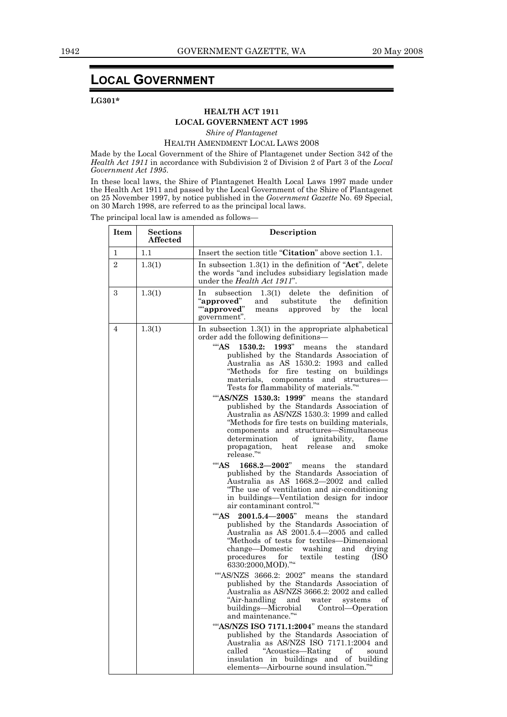## **LOCAL GOVERNMENT**

#### **LG301\***

### **HEALTH ACT 1911**

## **LOCAL GOVERNMENT ACT 1995**

*Shire of Plantagenet* 

#### HEALTH AMENDMENT LOCAL LAWS 2008

Made by the Local Government of the Shire of Plantagenet under Section 342 of the *Health Act 1911* in accordance with Subdivision 2 of Division 2 of Part 3 of the *Local Government Act 1995*.

In these local laws, the Shire of Plantagenet Health Local Laws 1997 made under the Health Act 1911 and passed by the Local Government of the Shire of Plantagenet on 25 November 1997, by notice published in the *Government Gazette* No. 69 Special, on 30 March 1998, are referred to as the principal local laws.

The principal local law is amended as follows—

| <b>Item</b>              | <b>Sections</b><br><b>Affected</b> | Description                                                                                                                                                                                                                                                                                                                                                                                                                                                                                                                                                                                                                                                                                                                                                                                                                                                                                                                                                                                                                                                                                                                                                                                                                                                                                                                                                                                                                                                                                                                                                                                                                                                                                                                                                                                                                                                                                        |
|--------------------------|------------------------------------|----------------------------------------------------------------------------------------------------------------------------------------------------------------------------------------------------------------------------------------------------------------------------------------------------------------------------------------------------------------------------------------------------------------------------------------------------------------------------------------------------------------------------------------------------------------------------------------------------------------------------------------------------------------------------------------------------------------------------------------------------------------------------------------------------------------------------------------------------------------------------------------------------------------------------------------------------------------------------------------------------------------------------------------------------------------------------------------------------------------------------------------------------------------------------------------------------------------------------------------------------------------------------------------------------------------------------------------------------------------------------------------------------------------------------------------------------------------------------------------------------------------------------------------------------------------------------------------------------------------------------------------------------------------------------------------------------------------------------------------------------------------------------------------------------------------------------------------------------------------------------------------------------|
| 1.1<br>$\mathbf{1}$      |                                    | Insert the section title "Citation" above section 1.1.                                                                                                                                                                                                                                                                                                                                                                                                                                                                                                                                                                                                                                                                                                                                                                                                                                                                                                                                                                                                                                                                                                                                                                                                                                                                                                                                                                                                                                                                                                                                                                                                                                                                                                                                                                                                                                             |
| $\overline{2}$<br>1.3(1) |                                    | In subsection $1.3(1)$ in the definition of "Act", delete<br>the words "and includes subsidiary legislation made<br>under the <i>Health Act 1911</i> ".                                                                                                                                                                                                                                                                                                                                                                                                                                                                                                                                                                                                                                                                                                                                                                                                                                                                                                                                                                                                                                                                                                                                                                                                                                                                                                                                                                                                                                                                                                                                                                                                                                                                                                                                            |
| 3<br>1.3(1)              |                                    | In.<br>1.3(1)<br>delete<br>the<br>definition<br>of<br>subsection<br>"approved"<br>and<br>substitute<br>the<br>definition<br>"approved"<br>approved<br>by<br>local<br>means<br>the<br>government".                                                                                                                                                                                                                                                                                                                                                                                                                                                                                                                                                                                                                                                                                                                                                                                                                                                                                                                                                                                                                                                                                                                                                                                                                                                                                                                                                                                                                                                                                                                                                                                                                                                                                                  |
| 1.3(1)<br>4              |                                    | In subsection $1.3(1)$ in the appropriate alphabetical<br>order add the following definitions—<br>""AS<br>1530.2:<br>1993"<br>the<br>standard<br>means<br>published by the Standards Association of<br>Australia as AS 1530.2: 1993 and called<br>"Methods for<br>$_{\rm fire}$<br>testing on buildings<br>structures-<br>materials,<br>components and<br>Tests for flammability of materials.""<br>"AS/NZS 1530.3: 1999" means the standard<br>published by the Standards Association of<br>Australia as AS/NZS 1530.3: 1999 and called<br>"Methods for fire tests on building materials,<br>components and structures-Simultaneous<br>determination<br>of<br><i>ignitability,</i><br>flame<br>heat<br>release<br>and<br>smoke<br>propagation,<br>release.""<br>"AS<br>$1668.2 - 2002$ "<br>the<br>means<br>standard<br>published by the Standards Association of<br>Australia as AS 1668.2-2002 and called<br>"The use of ventilation and air-conditioning"<br>in buildings-Ventilation design for indoor<br>air contaminant control.""<br>ASS<br>$2001.5.4 - 2005"$<br>means the<br>standard<br>published by the Standards Association of<br>Australia as AS 2001.5.4-2005 and called<br>"Methods of tests for textiles—Dimensional<br>change—Domestic<br>washing<br>and<br>drying<br>procedures<br>textile<br>testing<br>(ISO<br>for<br>6330:2000, MOD).""<br>"AS/NZS 3666.2: 2002" means the standard<br>published by the Standards Association of<br>Australia as AS/NZS 3666.2: 2002 and called<br>"Air-handling<br>and<br>water systems<br>οf<br>buildings—Microbial<br>Control—Operation<br>and maintenance.""<br>"AS/NZS ISO 7171.1:2004" means the standard<br>published by the Standards Association of<br>Australia as AS/NZS ISO 7171.1:2004 and<br>"Acoustics—Rating"<br>called<br>οf<br>sound<br>insulation in buildings and of building<br>elements-Airbourne sound insulation."" |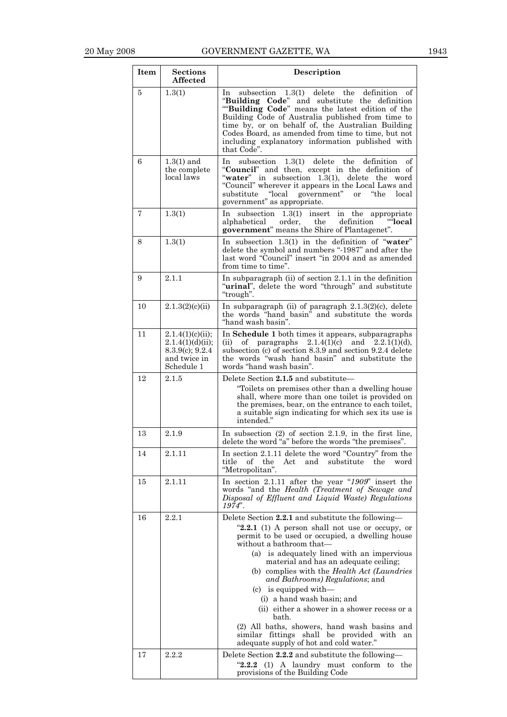| <b>Item</b> | <b>Sections</b><br><b>Affected</b>                                                       | Description                                                                                                                                                                                                                                                                                                                                                                                                                                                                                                                                                                                                                    |
|-------------|------------------------------------------------------------------------------------------|--------------------------------------------------------------------------------------------------------------------------------------------------------------------------------------------------------------------------------------------------------------------------------------------------------------------------------------------------------------------------------------------------------------------------------------------------------------------------------------------------------------------------------------------------------------------------------------------------------------------------------|
| 5           | 1.3(1)                                                                                   | subsection $1.3(1)$ delete the<br>definition<br>1n<br>of<br>"Building Code" and substitute the definition<br>""Building Code" means the latest edition of the<br>Building Code of Australia published from time to<br>time by, or on behalf of, the Australian Building<br>Codes Board, as amended from time to time, but not<br>including explanatory information published with<br>that Code".                                                                                                                                                                                                                               |
| 6           | $1.3(1)$ and<br>the complete<br>local laws                                               | $1.3(1)$ delete<br>definition<br>subsection<br>the<br>οf<br>In<br>"Council" and then, except in the definition of<br>"water" in subsection 1.3(1), delete the word<br>"Council" wherever it appears in the Local Laws and<br>"local government"<br>substitute<br><b>or</b><br>"the<br>local<br>government" as appropriate.                                                                                                                                                                                                                                                                                                     |
| 7           | 1.3(1)                                                                                   | In subsection $1.3(1)$ insert in the appropriate<br>"local<br>order,<br>the<br>definition<br>alphabetical<br>government" means the Shire of Plantagenet".                                                                                                                                                                                                                                                                                                                                                                                                                                                                      |
| 8           | 1.3(1)                                                                                   | In subsection $1.3(1)$ in the definition of "water"<br>delete the symbol and numbers "-1987" and after the<br>last word "Council" insert "in 2004 and as amended<br>from time to time".                                                                                                                                                                                                                                                                                                                                                                                                                                        |
| 9           | 2.1.1                                                                                    | In subparagraph (ii) of section $2.1.1$ in the definition<br>"urinal", delete the word "through" and substitute<br>"trough".                                                                                                                                                                                                                                                                                                                                                                                                                                                                                                   |
| 10          | 2.1.3(2)(c)(ii)                                                                          | In subparagraph (ii) of paragraph $2.1.3(2)(c)$ , delete<br>the words "hand basin" and substitute the words<br>"hand wash basin".                                                                                                                                                                                                                                                                                                                                                                                                                                                                                              |
| 11          | 2.1.4(1)(c)(ii);<br>2.1.4(1)(d)(ii);<br>$8.3.9(c)$ ; 9.2.4<br>and twice in<br>Schedule 1 | In Schedule 1 both times it appears, subparagraphs<br>οf<br>paragraphs<br>$2.1.4(1)(c)$ and $2.2.1(1)(d)$ ,<br>(i)<br>subsection (c) of section 8.3.9 and section 9.2.4 delete<br>the words "wash hand basin" and substitute the<br>words "hand wash basin".                                                                                                                                                                                                                                                                                                                                                                   |
| 12          | 2.1.5                                                                                    | Delete Section 2.1.5 and substitute-<br>"Toilets on premises other than a dwelling house<br>shall, where more than one toilet is provided on<br>the premises, bear, on the entrance to each toilet,<br>a suitable sign indicating for which sex its use is<br>intended."                                                                                                                                                                                                                                                                                                                                                       |
| 13          | 2.1.9                                                                                    | In subsection $(2)$ of section 2.1.9, in the first line,<br>delete the word "a" before the words "the premises".                                                                                                                                                                                                                                                                                                                                                                                                                                                                                                               |
| 14          | 2.1.11                                                                                   | In section 2.1.11 delete the word "Country" from the<br>and<br>substitute<br>title<br>of the<br>Act<br>the<br>word<br>"Metropolitan".                                                                                                                                                                                                                                                                                                                                                                                                                                                                                          |
| 15          | 2.1.11                                                                                   | In section 2.1.11 after the year " $1909$ " insert the<br>words "and the Health (Treatment of Sewage and<br>Disposal of Effluent and Liquid Waste) Regulations<br>1974".                                                                                                                                                                                                                                                                                                                                                                                                                                                       |
| 16          | 2.2.1                                                                                    | Delete Section 2.2.1 and substitute the following-<br>" $2.2.1$ (1) A person shall not use or occupy, or<br>permit to be used or occupied, a dwelling house<br>without a bathroom that-<br>(a) is adequately lined with an impervious<br>material and has an adequate ceiling;<br>(b) complies with the Health Act (Laundries<br>and Bathrooms) Regulations; and<br>$(c)$ is equipped with-<br>(i) a hand wash basin; and<br>(ii) either a shower in a shower recess or a<br>bath.<br>(2) All baths, showers, hand wash basins and<br>similar fittings shall be provided with<br>an<br>adequate supply of hot and cold water." |
| 17          | 2.2.2                                                                                    | Delete Section 2.2.2 and substitute the following-<br>(1) A laundry must conform to the<br>"2.2.2"<br>provisions of the Building Code                                                                                                                                                                                                                                                                                                                                                                                                                                                                                          |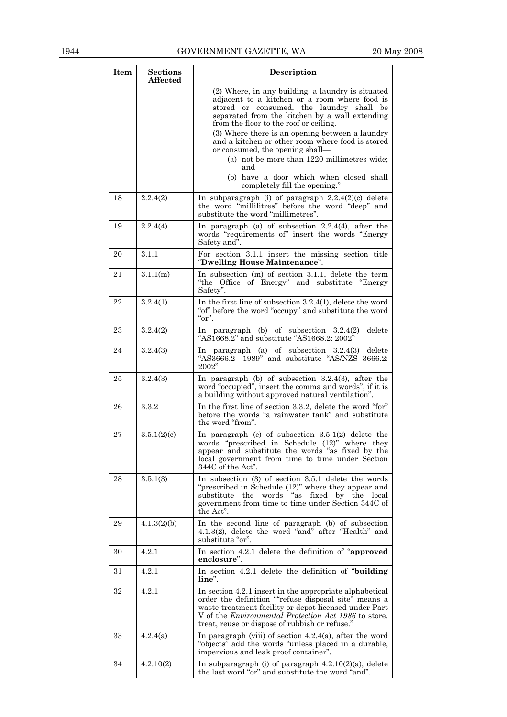| Item | <b>Sections</b><br><b>Affected</b> | Description                                                                                                                                                                                                                                                                               |
|------|------------------------------------|-------------------------------------------------------------------------------------------------------------------------------------------------------------------------------------------------------------------------------------------------------------------------------------------|
|      |                                    | (2) Where, in any building, a laundry is situated<br>adjacent to a kitchen or a room where food is<br>stored or consumed, the laundry shall be<br>separated from the kitchen by a wall extending<br>from the floor to the roof or ceiling.                                                |
|      |                                    | (3) Where there is an opening between a laundry<br>and a kitchen or other room where food is stored<br>or consumed, the opening shall-                                                                                                                                                    |
|      |                                    | (a) not be more than 1220 millimetres wide;<br>and<br>(b) have a door which when closed shall                                                                                                                                                                                             |
| 18   | 2.2.4(2)                           | completely fill the opening."<br>In subparagraph (i) of paragraph $2.2.4(2)(c)$ delete<br>the word "millilitres" before the word "deep" and<br>substitute the word "millimetres".                                                                                                         |
| 19   | 2.2.4(4)                           | In paragraph (a) of subsection $2.2.4(4)$ , after the<br>words "requirements of" insert the words "Energy<br>Safety and".                                                                                                                                                                 |
| 20   | 3.1.1                              | For section 3.1.1 insert the missing section title<br>"Dwelling House Maintenance".                                                                                                                                                                                                       |
| 21   | 3.1.1(m)                           | In subsection (m) of section 3.1.1, delete the term<br>"the Office of Energy" and substitute "Energy"<br>Safety".                                                                                                                                                                         |
| 22   | 3.2.4(1)                           | In the first line of subsection $3.2.4(1)$ , delete the word<br>"of" before the word "occupy" and substitute the word<br>" $or$ ".                                                                                                                                                        |
| 23   | 3.2.4(2)                           | In paragraph (b) of subsection $3.2.4(2)$<br>delete<br>"AS $1668.2$ " and substitute "AS $1668.2:2002$ "                                                                                                                                                                                  |
| 24   | 3.2.4(3)                           | In paragraph (a) of subsection $3.2.4(3)$<br>delete<br>" $AS3666.2 - 1989$ " and substitute "AS/NZS 3666.2:<br>2002"                                                                                                                                                                      |
| 25   | 3.2.4(3)                           | In paragraph (b) of subsection $3.2.4(3)$ , after the<br>word "occupied", insert the comma and words", if it is<br>a building without approved natural ventilation".                                                                                                                      |
| 26   | 3.3.2                              | In the first line of section 3.3.2, delete the word "for"<br>before the words "a rainwater tank" and substitute<br>the word "from".                                                                                                                                                       |
| 27   | 3.5.1(2)(c)                        | In paragraph (c) of subsection $3.5.1(2)$ delete the<br>words "prescribed in Schedule (12)" where they<br>appear and substitute the words "as fixed by the<br>local government from time to time under Section<br>344C of the Act".                                                       |
| 28   | 3.5.1(3)                           | In subsection $(3)$ of section 3.5.1 delete the words<br>"prescribed in Schedule (12)" where they appear and<br>"as<br>words<br>fixed<br>substitute<br>the<br>by the<br>local<br>government from time to time under Section 344C of<br>the Act".                                          |
| 29   | 4.1.3(2)(b)                        | In the second line of paragraph (b) of subsection<br>4.1.3(2), delete the word "and" after "Health" and<br>substitute "or".                                                                                                                                                               |
| 30   | 4.2.1                              | In section 4.2.1 delete the definition of "approved<br>enclosure".                                                                                                                                                                                                                        |
| 31   | 4.2.1                              | In section 4.2.1 delete the definition of "building"<br>line".                                                                                                                                                                                                                            |
| 32   | 4.2.1                              | In section 4.2.1 insert in the appropriate alphabetical<br>order the definition ""refuse disposal site" means a<br>waste treatment facility or depot licensed under Part<br>V of the <i>Environmental Protection Act 1986</i> to store,<br>treat, reuse or dispose of rubbish or refuse." |
| 33   | 4.2.4(a)                           | In paragraph (viii) of section $4.2.4(a)$ , after the word<br>"objects" add the words "unless placed in a durable,<br>impervious and leak proof container".                                                                                                                               |
| 34   | 4.2.10(2)                          | In subparagraph (i) of paragraph $4.2.10(2)(a)$ , delete<br>the last word "or" and substitute the word "and".                                                                                                                                                                             |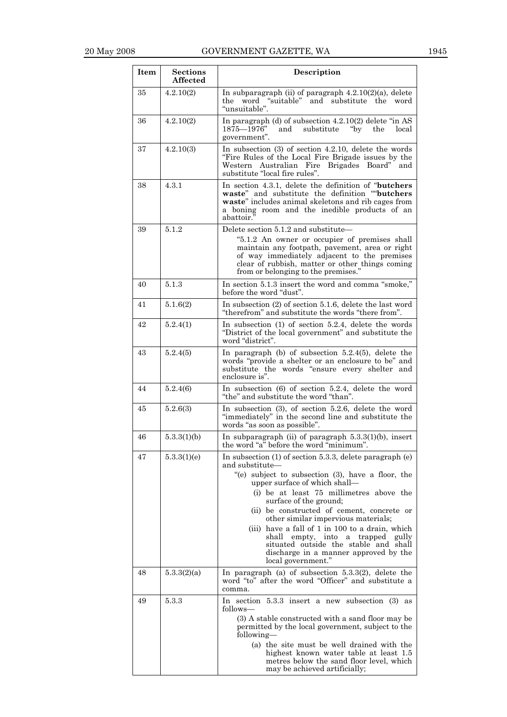| Item | <b>Sections</b><br>Affected | Description                                                                                                                                                                                                                                |  |
|------|-----------------------------|--------------------------------------------------------------------------------------------------------------------------------------------------------------------------------------------------------------------------------------------|--|
| 35   | 4.2.10(2)                   | In subparagraph (ii) of paragraph $4.2.10(2)(a)$ , delete<br>the word "suitable" and substitute the word<br>"unsuitable".                                                                                                                  |  |
| 36   | 4.2.10(2)                   | In paragraph (d) of subsection $4.2.10(2)$ delete "in AS<br>$1875 - 1976$ "<br>and<br>substitute<br>$v^{\prime}$<br>the<br>local<br>government".                                                                                           |  |
| 37   | 4.2.10(3)                   | In subsection $(3)$ of section 4.2.10, delete the words<br>"Fire Rules of the Local Fire Brigade issues by the<br>Western Australian Fire<br>Brigades Board" and<br>substitute "local fire rules".                                         |  |
| 38   | 4.3.1                       | In section 4.3.1, delete the definition of " <b>butchers</b><br>waste" and substitute the definition ""butchers<br>waste" includes animal skeletons and rib cages from<br>a boning room and the inedible products of an<br>abattoir.'      |  |
| 39   | 5.1.2                       | Delete section 5.1.2 and substitute-                                                                                                                                                                                                       |  |
|      |                             | "5.1.2 An owner or occupier of premises shall<br>maintain any footpath, pavement, area or right<br>of way immediately adjacent to the premises<br>clear of rubbish, matter or other things coming<br>from or belonging to the premises."   |  |
| 40   | 5.1.3                       | In section 5.1.3 insert the word and comma "smoke,"<br>before the word "dust".                                                                                                                                                             |  |
| 41   | 5.1.6(2)                    | In subsection $(2)$ of section 5.1.6, delete the last word<br>"therefrom" and substitute the words "there from".                                                                                                                           |  |
| 42   | 5.2.4(1)                    | In subsection $(1)$ of section 5.2.4, delete the words<br>"District of the local government" and substitute the<br>word "district".                                                                                                        |  |
| 43   | 5.2.4(5)                    | In paragraph (b) of subsection $5.2.4(5)$ , delete the<br>words "provide a shelter or an enclosure to be" and<br>substitute the words "ensure every shelter and<br>enclosure is".                                                          |  |
| 44   | 5.2.4(6)                    | In subsection $(6)$ of section 5.2.4, delete the word<br>"the" and substitute the word "than".                                                                                                                                             |  |
| 45   | 5.2.6(3)                    | In subsection $(3)$ , of section 5.2.6, delete the word<br>"immediately" in the second line and substitute the<br>words "as soon as possible".                                                                                             |  |
| 46   | 5.3.3(1)(b)                 | In subparagraph (ii) of paragraph $5.3.3(1)(b)$ , insert<br>the word "a" before the word "minimum".                                                                                                                                        |  |
| 47   | 5.3.3(1)(e)                 | In subsection $(1)$ of section 5.3.3, delete paragraph $(e)$<br>and substitute—<br>"(e) subject to subsection (3), have a floor, the<br>upper surface of which shall-<br>(i) be at least 75 millimetres above the                          |  |
|      |                             | surface of the ground;<br>(ii) be constructed of cement, concrete or                                                                                                                                                                       |  |
|      |                             | other similar impervious materials;<br>(iii) have a fall of $1$ in $100$ to a drain, which<br>shall empty, into a trapped<br>gully<br>situated outside the stable and shall<br>discharge in a manner approved by the<br>local government." |  |
| 48   | 5.3.3(2)(a)                 | In paragraph (a) of subsection $5.3.3(2)$ , delete the<br>word "to" after the word "Officer" and substitute a<br>comma.                                                                                                                    |  |
| 49   | 5.3.3                       | In section $5.3.3$ insert a new subsection $(3)$ as<br>follows—                                                                                                                                                                            |  |
|      |                             | (3) A stable constructed with a sand floor may be<br>permitted by the local government, subject to the<br>following—                                                                                                                       |  |
|      |                             | (a) the site must be well drained with the<br>highest known water table at least 1.5<br>metres below the sand floor level, which<br>may be achieved artificially;                                                                          |  |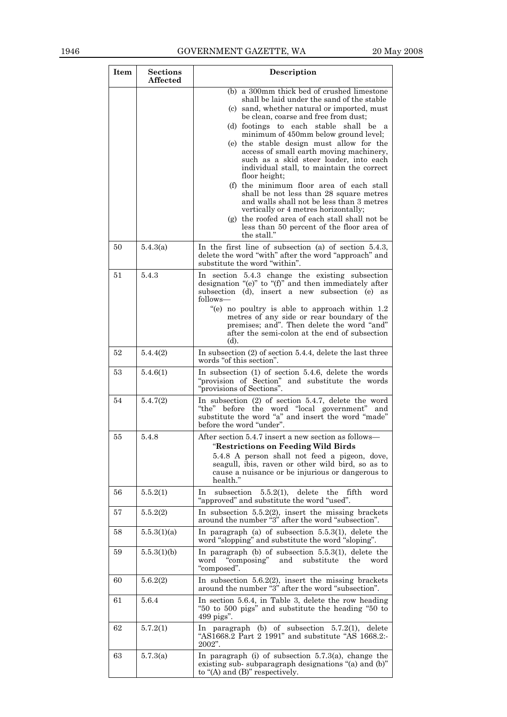## 1946 GOVERNMENT GAZETTE, WA 20 May 2008

| Item | <b>Sections</b><br>Affected | Description                                                                                                                                                                                                                                                                                                                                                                                                                                                                                                                                                                                                                                                                                                                                                |  |
|------|-----------------------------|------------------------------------------------------------------------------------------------------------------------------------------------------------------------------------------------------------------------------------------------------------------------------------------------------------------------------------------------------------------------------------------------------------------------------------------------------------------------------------------------------------------------------------------------------------------------------------------------------------------------------------------------------------------------------------------------------------------------------------------------------------|--|
|      |                             | (b) a 300mm thick bed of crushed limestone<br>shall be laid under the sand of the stable<br>(c) sand, whether natural or imported, must<br>be clean, coarse and free from dust;<br>(d) footings to each stable shall be a<br>minimum of 450mm below ground level;<br>(e) the stable design must allow for the<br>access of small earth moving machinery,<br>such as a skid steer loader, into each<br>individual stall, to maintain the correct<br>floor height;<br>(f) the minimum floor area of each stall<br>shall be not less than 28 square metres<br>and walls shall not be less than 3 metres<br>vertically or 4 metres horizontally;<br>(g) the roofed area of each stall shall not be<br>less than 50 percent of the floor area of<br>the stall." |  |
| 50   | 5.4.3(a)                    | In the first line of subsection (a) of section $5.4.3$ ,<br>delete the word "with" after the word "approach" and<br>substitute the word "within".                                                                                                                                                                                                                                                                                                                                                                                                                                                                                                                                                                                                          |  |
| 51   | 5.4.3                       | In section 5.4.3 change the existing subsection<br>designation "(e)" to "(f)" and then immediately after<br>subsection (d), insert a new subsection (e) as<br>follows—<br>"(e) no poultry is able to approach within 1.2<br>metres of any side or rear boundary of the<br>premises; and". Then delete the word "and"<br>after the semi-colon at the end of subsection<br>(d).                                                                                                                                                                                                                                                                                                                                                                              |  |
| 52   | 5.4.4(2)                    | In subsection $(2)$ of section 5.4.4, delete the last three<br>words "of this section".                                                                                                                                                                                                                                                                                                                                                                                                                                                                                                                                                                                                                                                                    |  |
| 53   | 5.4.6(1)                    | In subsection $(1)$ of section 5.4.6, delete the words<br>"provision of Section" and substitute the words<br>"provisions of Sections".                                                                                                                                                                                                                                                                                                                                                                                                                                                                                                                                                                                                                     |  |
| 54   | 5.4.7(2)                    | In subsection $(2)$ of section 5.4.7, delete the word<br>"the" before the word "local government" and<br>substitute the word "a" and insert the word "made"<br>before the word "under".                                                                                                                                                                                                                                                                                                                                                                                                                                                                                                                                                                    |  |
| 55   | 5.4.8                       | After section 5.4.7 insert a new section as follows-<br>"Restrictions on Feeding Wild Birds<br>5.4.8 A person shall not feed a pigeon, dove,<br>seagull, ibis, raven or other wild bird, so as to<br>cause a nuisance or be injurious or dangerous to<br>health."                                                                                                                                                                                                                                                                                                                                                                                                                                                                                          |  |
| 56   | 5.5.2(1)                    | delete<br>subsection<br>$5.5.2(1)$ ,<br>the<br>fifth<br>word<br>1n<br>"approved" and substitute the word "used".                                                                                                                                                                                                                                                                                                                                                                                                                                                                                                                                                                                                                                           |  |
| 57   | 5.5.2(2)                    | In subsection $5.5.2(2)$ , insert the missing brackets<br>around the number "3" after the word "subsection".                                                                                                                                                                                                                                                                                                                                                                                                                                                                                                                                                                                                                                               |  |
| 58   | 5.5.3(1)(a)                 | In paragraph (a) of subsection $5.5.3(1)$ , delete the<br>word "slopping" and substitute the word "sloping".                                                                                                                                                                                                                                                                                                                                                                                                                                                                                                                                                                                                                                               |  |
| 59   | 5.5.3(1)(b)                 | In paragraph (b) of subsection 5.5.3(1), delete the<br>"composing"<br>word<br>and<br>substitute<br>the<br>word<br>"composed".                                                                                                                                                                                                                                                                                                                                                                                                                                                                                                                                                                                                                              |  |
| 60   | 5.6.2(2)                    | In subsection $5.6.2(2)$ , insert the missing brackets<br>around the number "3" after the word "subsection".                                                                                                                                                                                                                                                                                                                                                                                                                                                                                                                                                                                                                                               |  |
| 61   | 5.6.4                       | In section 5.6.4, in Table 3, delete the row heading<br>"50 to 500 pigs" and substitute the heading "50 to<br>499 pigs".                                                                                                                                                                                                                                                                                                                                                                                                                                                                                                                                                                                                                                   |  |
| 62   | 5.7.2(1)                    | In paragraph (b) of subsection $5.7.2(1)$ , delete<br>"AS1668.2 Part $2$ 1991" and substitute "AS 1668.2:-<br>2002".                                                                                                                                                                                                                                                                                                                                                                                                                                                                                                                                                                                                                                       |  |
| 63   | 5.7.3(a)                    | In paragraph (i) of subsection $5.7.3(a)$ , change the<br>existing sub-subparagraph designations "(a) and (b)"<br>to " $(A)$ and $(B)$ " respectively.                                                                                                                                                                                                                                                                                                                                                                                                                                                                                                                                                                                                     |  |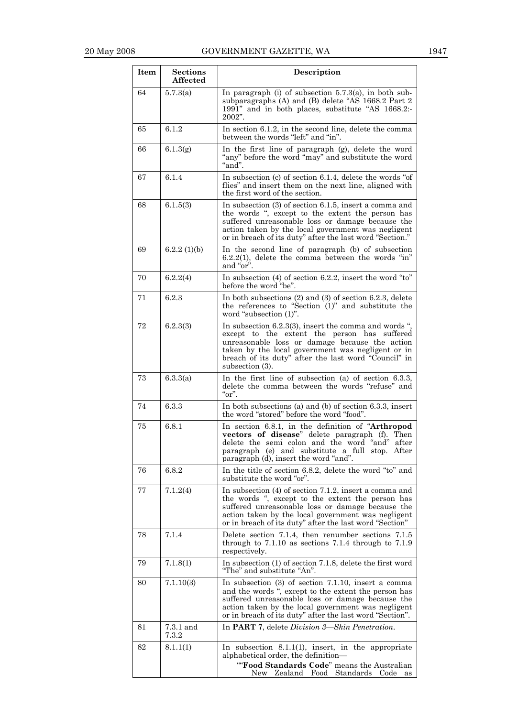| Item   | <b>Sections</b><br><b>Affected</b> | Description                                                                                                                                                                                                                                                                             |
|--------|------------------------------------|-----------------------------------------------------------------------------------------------------------------------------------------------------------------------------------------------------------------------------------------------------------------------------------------|
| 64     | 5.7.3(a)                           | In paragraph (i) of subsection $5.7.3(a)$ , in both sub-<br>subparagraphs (A) and (B) delete "AS 1668.2 Part 2<br>1991" and in both places, substitute "AS 1668.2:-<br>2002".                                                                                                           |
| 65     | 6.1.2                              | In section 6.1.2, in the second line, delete the comma<br>between the words "left" and "in".                                                                                                                                                                                            |
| 66     | 6.1.3(g)                           | In the first line of paragraph (g), delete the word<br>"any" before the word "may" and substitute the word<br>"and".                                                                                                                                                                    |
| 67     | 6.1.4                              | In subsection (c) of section 6.1.4, delete the words "of<br>flies" and insert them on the next line, aligned with<br>the first word of the section.                                                                                                                                     |
| 68     | 6.1.5(3)                           | In subsection $(3)$ of section 6.1.5, insert a comma and<br>the words ", except to the extent the person has<br>suffered unreasonable loss or damage because the<br>action taken by the local government was negligent<br>or in breach of its duty" after the last word "Section."      |
| 69     | 6.2.2(1)(b)                        | In the second line of paragraph (b) of subsection<br>$6.2.2(1)$ , delete the comma between the words "in"<br>and "or".                                                                                                                                                                  |
| 70     | 6.2.2(4)                           | In subsection $(4)$ of section 6.2.2, insert the word "to"<br>before the word "be".                                                                                                                                                                                                     |
| 71     | 6.2.3                              | In both subsections $(2)$ and $(3)$ of section 6.2.3, delete<br>the references to "Section (1)" and substitute the<br>word "subsection (1)".                                                                                                                                            |
| 72     | 6.2.3(3)                           | In subsection 6.2.3(3), insert the comma and words ",<br>except to the extent the person has suffered<br>unreasonable loss or damage because the action<br>taken by the local government was negligent or in<br>breach of its duty" after the last word "Council" in<br>subsection (3). |
| 73     | 6.3.3(a)                           | In the first line of subsection (a) of section $6.3.3$ ,<br>delete the comma between the words "refuse" and<br>"or".                                                                                                                                                                    |
| 74     | 6.3.3                              | In both subsections (a) and (b) of section $6.3.3$ , insert<br>the word "stored" before the word "food".                                                                                                                                                                                |
| 75     | 6.8.1                              | In section 6.8.1, in the definition of "Arthropod<br>vectors of disease" delete paragraph (f). Then<br>delete the semi colon and the word "and" after<br>paragraph (e) and substitute a full stop. After<br>paragraph (d), insert the word "and".                                       |
| 76     | 6.8.2                              | In the title of section 6.8.2, delete the word "to" and<br>substitute the word "or".                                                                                                                                                                                                    |
| 77     | 7.1.2(4)                           | In subsection $(4)$ of section 7.1.2, insert a comma and<br>the words ", except to the extent the person has<br>suffered unreasonable loss or damage because the<br>action taken by the local government was negligent<br>or in breach of its duty" after the last word "Section"       |
| 78     | 7.1.4                              | Delete section 7.1.4, then renumber sections 7.1.5<br>through to $7.1.10$ as sections $7.1.4$ through to $7.1.9$<br>respectively.                                                                                                                                                       |
| $79\,$ | 7.1.8(1)                           | In subsection (1) of section 7.1.8, delete the first word<br>"The" and substitute "An".                                                                                                                                                                                                 |
| 80     | 7.1.10(3)                          | In subsection $(3)$ of section 7.1.10, insert a comma<br>and the words ", except to the extent the person has<br>suffered unreasonable loss or damage because the<br>action taken by the local government was negligent<br>or in breach of its duty" after the last word "Section".     |
| 81     | $7.3.1$ and<br>7.3.2               | In PART 7, delete Division 3-Skin Penetration.                                                                                                                                                                                                                                          |
| 82     | 8.1.1(1)                           | In subsection $8.1.1(1)$ , insert, in the appropriate<br>alphabetical order, the definition-                                                                                                                                                                                            |
|        |                                    | "Food Standards Code" means the Australian<br>Zealand Food<br>Standards<br>New<br>Code<br>as                                                                                                                                                                                            |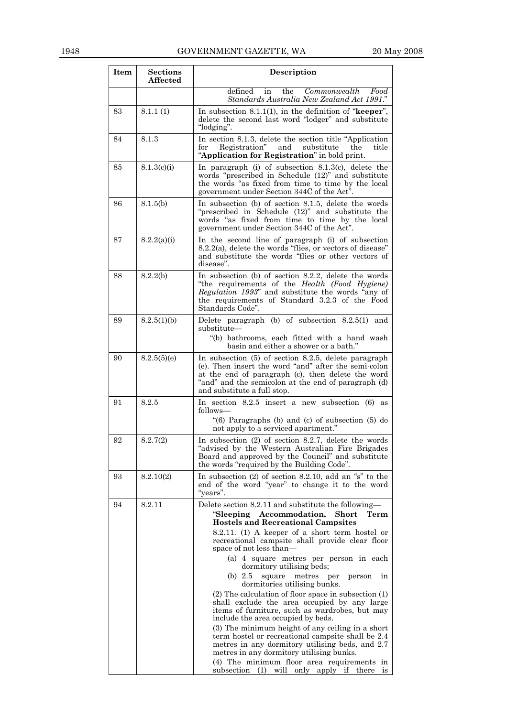| Item | <b>Sections</b><br><b>Affected</b> | <b>Description</b>                                                                                                                                                                                                                                      |
|------|------------------------------------|---------------------------------------------------------------------------------------------------------------------------------------------------------------------------------------------------------------------------------------------------------|
|      |                                    | defined<br>Commonwealth<br>in<br>the<br>Food<br>Standards Australia New Zealand Act 1991."                                                                                                                                                              |
| 83   | 8.1.1(1)                           | In subsection 8.1.1(1), in the definition of " $\mathbf{keeper}$ ",<br>delete the second last word "lodger" and substitute<br>"lodging".                                                                                                                |
| 84   | 8.1.3                              | In section 8.1.3, delete the section title "Application"<br>and<br>Registration"<br>substitute<br>title<br>for<br>the<br>"Application for Registration" in bold print.                                                                                  |
| 85   | 8.1.3(c)(i)                        | In paragraph (i) of subsection $8.1.3(c)$ , delete the<br>words "prescribed in Schedule (12)" and substitute<br>the words "as fixed from time to time by the local<br>government under Section 344C of the Act".                                        |
| 86   | 8.1.5(b)                           | In subsection (b) of section 8.1.5, delete the words<br>"prescribed in Schedule (12)" and substitute the<br>words "as fixed from time to time by the local<br>government under Section 344C of the Act".                                                |
| 87   | 8.2.2(a)(i)                        | In the second line of paragraph (i) of subsection<br>8.2.2(a), delete the words "flies, or vectors of disease"<br>and substitute the words "flies or other vectors of<br>disease".                                                                      |
| 88   | 8.2.2(b)                           | In subsection (b) of section 8.2.2, delete the words<br>"the requirements of the Health (Food Hygiene)<br>Regulation 1993" and substitute the words "any of<br>the requirements of Standard 3.2.3 of the Food<br>Standards Code".                       |
| 89   | 8.2.5(1)(b)                        | Delete paragraph (b) of subsection $8.2.5(1)$ and<br>substitute—<br>"(b) bathrooms, each fitted with a hand wash<br>basin and either a shower or a bath."                                                                                               |
| 90   | 8.2.5(5)(e)                        | In subsection (5) of section 8.2.5, delete paragraph<br>(e). Then insert the word "and" after the semi-colon<br>at the end of paragraph (c), then delete the word<br>"and" and the semicolon at the end of paragraph (d)<br>and substitute a full stop. |
| 91   | 8.2.5                              | In section $8.2.5$ insert a new subsection $(6)$ as<br>follows—<br>" $(6)$ Paragraphs $(b)$ and $(c)$ of subsection $(5)$ do<br>not apply to a serviced apartment."                                                                                     |
| 92   | 8.2.7(2)                           | In subsection $(2)$ of section 8.2.7, delete the words<br>advised by the Western Australian Fire Brigades<br>Board and approved by the Council" and substitute<br>the words "required by the Building Code".                                            |
| 93   | 8.2.10(2)                          | In subsection $(2)$ of section 8.2.10, add an "s" to the<br>end of the word "year" to change it to the word<br>"years".                                                                                                                                 |
| 94   | 8.2.11                             | Delete section 8.2.11 and substitute the following—<br>"Sleeping Accommodation,<br>Short<br>Term<br><b>Hostels and Recreational Campsites</b><br>8.2.11. (1) A keeper of a short term hostel or                                                         |
|      |                                    | recreational campsite shall provide clear floor<br>space of not less than—                                                                                                                                                                              |
|      |                                    | (a) 4 square metres per person in each<br>dormitory utilising beds;<br>(b) $2.5$<br>square metres<br>person<br>per<br>in                                                                                                                                |
|      |                                    | dormitories utilising bunks.<br>$(2)$ The calculation of floor space in subsection $(1)$<br>shall exclude the area occupied by any large<br>items of furniture, such as wardrobes, but may<br>include the area occupied by beds.                        |
|      |                                    | (3) The minimum height of any ceiling in a short<br>term hostel or recreational campsite shall be 2.4<br>metres in any dormitory utilising beds, and 2.7<br>metres in any dormitory utilising bunks.                                                    |
|      |                                    | (4) The minimum floor area requirements in<br>subsection (1) will only apply if there is                                                                                                                                                                |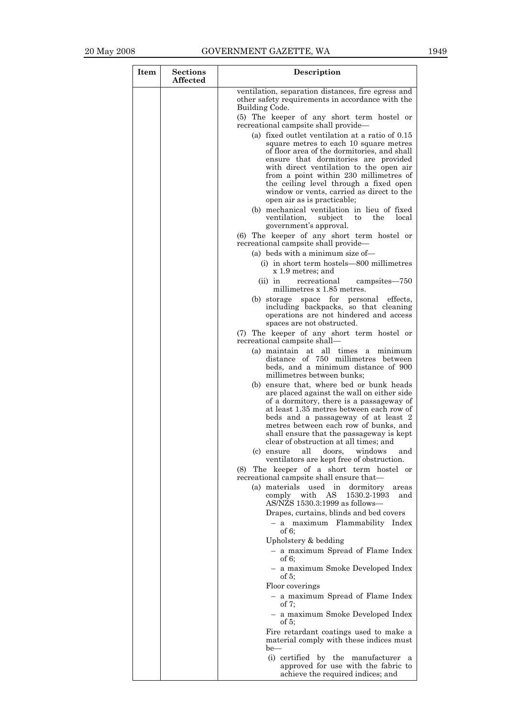| Item | <b>Sections</b><br><b>Affected</b> | <b>Description</b>                                                                                                                                                                                                                                                                                                                                   |
|------|------------------------------------|------------------------------------------------------------------------------------------------------------------------------------------------------------------------------------------------------------------------------------------------------------------------------------------------------------------------------------------------------|
|      |                                    | ventilation, separation distances, fire egress and<br>other safety requirements in accordance with the<br>Building Code.                                                                                                                                                                                                                             |
|      |                                    | (5) The keeper of any short term hostel or<br>recreational campsite shall provide—                                                                                                                                                                                                                                                                   |
|      |                                    | (a) fixed outlet ventilation at a ratio of 0.15                                                                                                                                                                                                                                                                                                      |
|      |                                    | square metres to each 10 square metres<br>of floor area of the dormitories, and shall                                                                                                                                                                                                                                                                |
|      |                                    | ensure that dormitories are provided<br>with direct ventilation to the open air                                                                                                                                                                                                                                                                      |
|      |                                    | from a point within 230 millimetres of<br>the ceiling level through a fixed open<br>window or vents, carried as direct to the<br>open air as is practicable;                                                                                                                                                                                         |
|      |                                    | (b) mechanical ventilation in lieu of fixed<br>ventilation,<br>subject<br>the<br>local<br>to<br>government's approval.                                                                                                                                                                                                                               |
|      |                                    | (6) The keeper of any short term hostel or<br>recreational campsite shall provide—                                                                                                                                                                                                                                                                   |
|      |                                    | (a) beds with a minimum size of-                                                                                                                                                                                                                                                                                                                     |
|      |                                    | (i) in short term hostels—800 millimetres<br>x 1.9 metres; and                                                                                                                                                                                                                                                                                       |
|      |                                    | recreational<br>$(ii)$ in<br>campsites-750<br>millimetres x 1.85 metres.                                                                                                                                                                                                                                                                             |
|      |                                    | space for personal effects,<br>(b) storage<br>including backpacks, so that cleaning<br>operations are not hindered and access<br>spaces are not obstructed.                                                                                                                                                                                          |
|      |                                    | (7) The keeper of any short term hostel or<br>recreational campsite shall-                                                                                                                                                                                                                                                                           |
|      |                                    | (a) maintain at all times<br>minimum<br>a<br>distance of 750 millimetres between<br>beds, and a minimum distance of 900<br>millimetres between bunks;                                                                                                                                                                                                |
|      |                                    | (b) ensure that, where bed or bunk heads<br>are placed against the wall on either side<br>of a dormitory, there is a passageway of<br>at least 1.35 metres between each row of<br>beds and a passageway of at least 2<br>metres between each row of bunks, and<br>shall ensure that the passageway is kept<br>clear of obstruction at all times; and |
|      |                                    | all<br>doors,<br>(c) ensure<br>windows<br>and<br>ventilators are kept free of obstruction.                                                                                                                                                                                                                                                           |
|      |                                    | The keeper of a short term hostel or<br>(8)<br>recreational campsite shall ensure that—                                                                                                                                                                                                                                                              |
|      |                                    | (a) materials used in<br>dormitory<br>areas<br>with<br>AS<br>1530.2-1993<br>comply<br>and<br>$AS/NZS$ 1530.3:1999 as follows—                                                                                                                                                                                                                        |
|      |                                    | Drapes, curtains, blinds and bed covers<br>- a maximum Flammability Index                                                                                                                                                                                                                                                                            |
|      |                                    | of $6$ :                                                                                                                                                                                                                                                                                                                                             |
|      |                                    | Upholstery & bedding<br>- a maximum Spread of Flame Index                                                                                                                                                                                                                                                                                            |
|      |                                    | of $6$ :<br>- a maximum Smoke Developed Index                                                                                                                                                                                                                                                                                                        |
|      |                                    | of $5$ :                                                                                                                                                                                                                                                                                                                                             |
|      |                                    | Floor coverings<br>- a maximum Spread of Flame Index<br>of $7:$                                                                                                                                                                                                                                                                                      |
|      |                                    | - a maximum Smoke Developed Index<br>of $5$ :                                                                                                                                                                                                                                                                                                        |
|      |                                    | Fire retardant coatings used to make a<br>material comply with these indices must<br>$be$ —                                                                                                                                                                                                                                                          |
|      |                                    | (i) certified by the manufacturer<br>- a<br>approved for use with the fabric to<br>achieve the required indices; and                                                                                                                                                                                                                                 |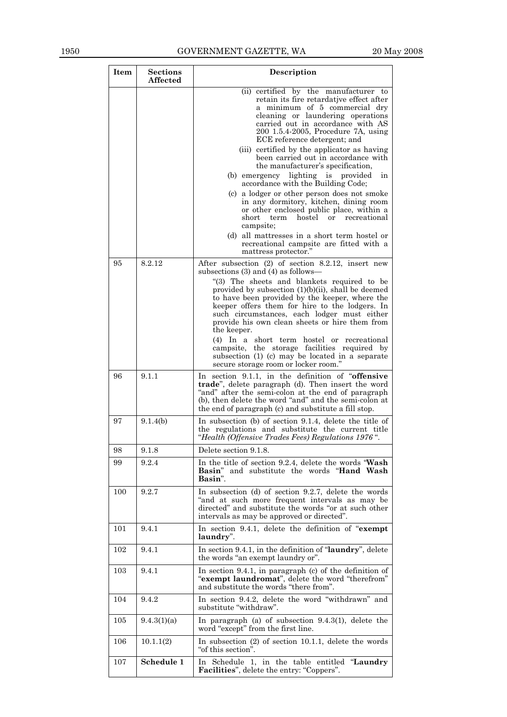| Item | <b>Sections</b><br><b>Affected</b> | Description                                                                                                                                                                                                                                                                                                                                                                                                                                                                                                                                                                                                        |
|------|------------------------------------|--------------------------------------------------------------------------------------------------------------------------------------------------------------------------------------------------------------------------------------------------------------------------------------------------------------------------------------------------------------------------------------------------------------------------------------------------------------------------------------------------------------------------------------------------------------------------------------------------------------------|
|      |                                    | (ii) certified by the manufacturer to<br>retain its fire retardative effect after<br>a minimum of 5 commercial dry<br>cleaning or laundering operations<br>carried out in accordance with AS<br>200 1.5.4-2005, Procedure 7A, using<br>ECE reference detergent; and<br>(iii) certified by the applicator as having<br>been carried out in accordance with                                                                                                                                                                                                                                                          |
|      |                                    | the manufacturer's specification,<br>(b) emergency lighting is provided<br>in<br>accordance with the Building Code;                                                                                                                                                                                                                                                                                                                                                                                                                                                                                                |
|      |                                    | (c) a lodger or other person does not smoke<br>in any dormitory, kitchen, dining room<br>or other enclosed public place, within a<br>short<br>term hostel or<br>recreational<br>campsite;<br>(d) all mattresses in a short term hostel or<br>recreational campsite are fitted with a<br>mattress protector."                                                                                                                                                                                                                                                                                                       |
| 95   | 8.2.12                             | After subsection (2) of section 8.2.12, insert new<br>subsections $(3)$ and $(4)$ as follows—<br>"(3) The sheets and blankets required to be<br>provided by subsection $(1)(b)(ii)$ , shall be deemed<br>to have been provided by the keeper, where the<br>keeper offers them for hire to the lodgers. In<br>such circumstances, each lodger must either<br>provide his own clean sheets or hire them from<br>the keeper.<br>(4) In a short term hostel or recreational<br>campsite, the storage facilities required by<br>subsection (1) (c) may be located in a separate<br>secure storage room or locker room." |
| 96   | 9.1.1                              | In section 9.1.1, in the definition of "offensive<br>trade", delete paragraph (d). Then insert the word<br>"and" after the semi-colon at the end of paragraph<br>(b), then delete the word "and" and the semi-colon at<br>the end of paragraph (c) and substitute a fill stop.                                                                                                                                                                                                                                                                                                                                     |
| 97   | 9.1.4(b)                           | In subsection (b) of section 9.1.4, delete the title of<br>the regulations and substitute the current title<br>"Health (Offensive Trades Fees) Regulations 1976".                                                                                                                                                                                                                                                                                                                                                                                                                                                  |
| 98   | 9.1.8                              | Delete section 9.1.8.                                                                                                                                                                                                                                                                                                                                                                                                                                                                                                                                                                                              |
| 99   | 9.2.4                              | In the title of section 9.2.4, delete the words "Wash"<br>Basin" and substitute the words "Hand Wash<br>Basin".                                                                                                                                                                                                                                                                                                                                                                                                                                                                                                    |
| 100  | 9.2.7                              | In subsection (d) of section 9.2.7, delete the words<br>"and at such more frequent intervals as may be<br>directed" and substitute the words "or at such other<br>intervals as may be approved or directed".                                                                                                                                                                                                                                                                                                                                                                                                       |
| 101  | 9.4.1                              | In section 9.4.1, delete the definition of "exempt<br>laundry".                                                                                                                                                                                                                                                                                                                                                                                                                                                                                                                                                    |
| 102  | 9.4.1                              | In section 9.4.1, in the definition of "laundry", delete<br>the words "an exempt laundry or".                                                                                                                                                                                                                                                                                                                                                                                                                                                                                                                      |
| 103  | 9.4.1                              | In section $9.4.1$ , in paragraph (c) of the definition of<br>"exempt laundromat", delete the word "therefrom"<br>and substitute the words "there from".                                                                                                                                                                                                                                                                                                                                                                                                                                                           |
| 104  | 9.4.2                              | In section 9.4.2, delete the word "withdrawn" and<br>substitute "withdraw".                                                                                                                                                                                                                                                                                                                                                                                                                                                                                                                                        |
| 105  | 9.4.3(1)(a)                        | In paragraph (a) of subsection $9.4.3(1)$ , delete the<br>word "except" from the first line.                                                                                                                                                                                                                                                                                                                                                                                                                                                                                                                       |
| 106  | 10.1.1(2)                          | In subsection $(2)$ of section 10.1.1, delete the words<br>"of this section".                                                                                                                                                                                                                                                                                                                                                                                                                                                                                                                                      |
| 107  | Schedule 1                         | In Schedule 1, in the table entitled "Laundry"<br>Facilities", delete the entry: "Coppers".                                                                                                                                                                                                                                                                                                                                                                                                                                                                                                                        |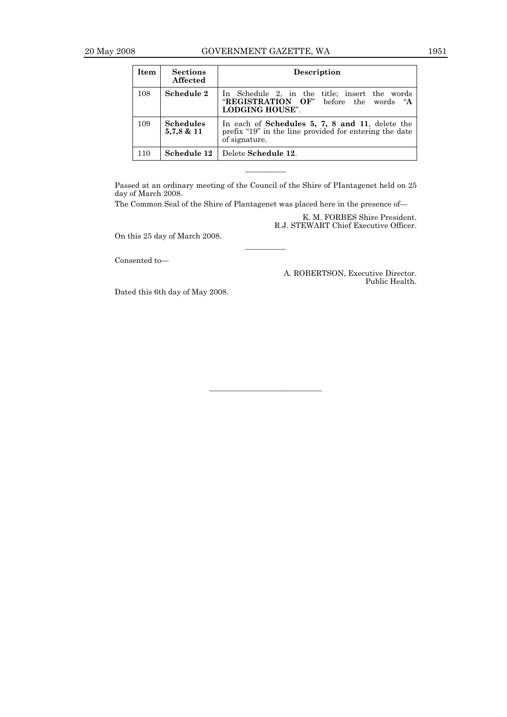| Item | <b>Sections</b><br><b>Affected</b> | <b>Description</b>                                                                                                         |
|------|------------------------------------|----------------------------------------------------------------------------------------------------------------------------|
| 108  | Schedule 2                         | In Schedule 2, in the title; insert the words<br>"REGISTRATION OF" before the words "A<br><b>LODGING HOUSE".</b>           |
| 109  | <b>Schedules</b><br>5,7,8 & 11     | In each of Schedules 5, 7, 8 and 11, delete the<br>prefix "19" in the line provided for entering the date<br>of signature. |
| 110  | Schedule 12                        | Delete Schedule 12.                                                                                                        |

Passed at an ordinary meeting of the Council of the Shire of PIantagenet held on 25 day of March 2008.

————

———————————

————

The Common Seal of the Shire of Plantagenet was placed here in the presence of—

K. M. FORBES Shire President. R.J. STEWART Chief Executive Officer.

On this 25 day of March 2008.

Consented to—

A. ROBERTSON, Executive Director. Public Health.

Dated this 6th day of May 2008.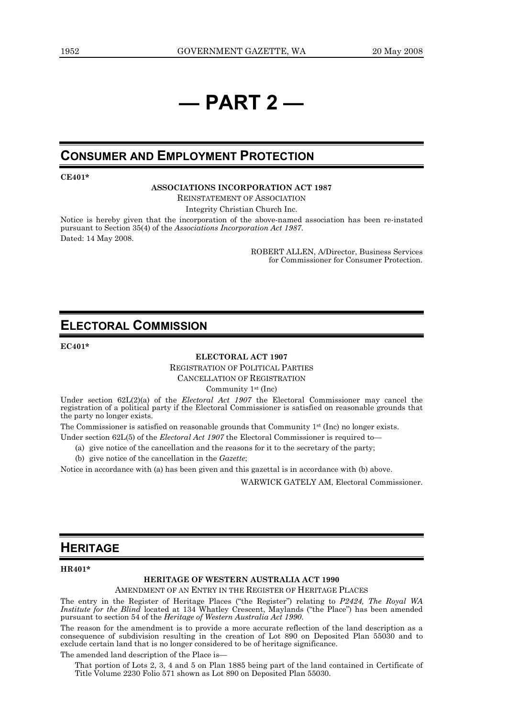## **— PART 2 —**

## **CONSUMER AND EMPLOYMENT PROTECTION**

**CE401\*** 

**ASSOCIATIONS INCORPORATION ACT 1987** 

REINSTATEMENT OF ASSOCIATION

Integrity Christian Church Inc.

Notice is hereby given that the incorporation of the above-named association has been re-instated pursuant to Section 35(4) of the *Associations Incorporation Act 1987*. Dated: 14 May 2008.

> ROBERT ALLEN, A/Director, Business Services for Commissioner for Consumer Protection.

## **ELECTORAL COMMISSION**

**EC401\*** 

**ELECTORAL ACT 1907** 

REGISTRATION OF POLITICAL PARTIES

CANCELLATION OF REGISTRATION

Community 1st (Inc)

Under section 62L(2)(a) of the *Electoral Act 1907* the Electoral Commissioner may cancel the registration of a political party if the Electoral Commissioner is satisfied on reasonable grounds that the party no longer exists.

The Commissioner is satisfied on reasonable grounds that Community  $1<sup>st</sup>$  (Inc) no longer exists.

Under section 62L(5) of the *Electoral Act 1907* the Electoral Commissioner is required to

- (a) give notice of the cancellation and the reasons for it to the secretary of the party;
- (b) give notice of the cancellation in the *Gazette*;

Notice in accordance with (a) has been given and this gazettal is in accordance with (b) above.

WARWICK GATELY AM, Electoral Commissioner.

## **HERITAGE**

#### **HR401\***

#### **HERITAGE OF WESTERN AUSTRALIA ACT 1990**

AMENDMENT OF AN ENTRY IN THE REGISTER OF HERITAGE PLACES

The entry in the Register of Heritage Places ("the Register") relating to *P2424, The Royal WA Institute for the Blind* located at 134 Whatley Crescent, Maylands ("the Place") has been amended pursuant to section 54 of the *Heritage of Western Australia Act 1990*.

The reason for the amendment is to provide a more accurate reflection of the land description as a consequence of subdivision resulting in the creation of Lot 890 on Deposited Plan 55030 and to exclude certain land that is no longer considered to be of heritage significance.

The amended land description of the Place is—

That portion of Lots 2, 3, 4 and 5 on Plan 1885 being part of the land contained in Certificate of Title Volume 2230 Folio 571 shown as Lot 890 on Deposited Plan 55030.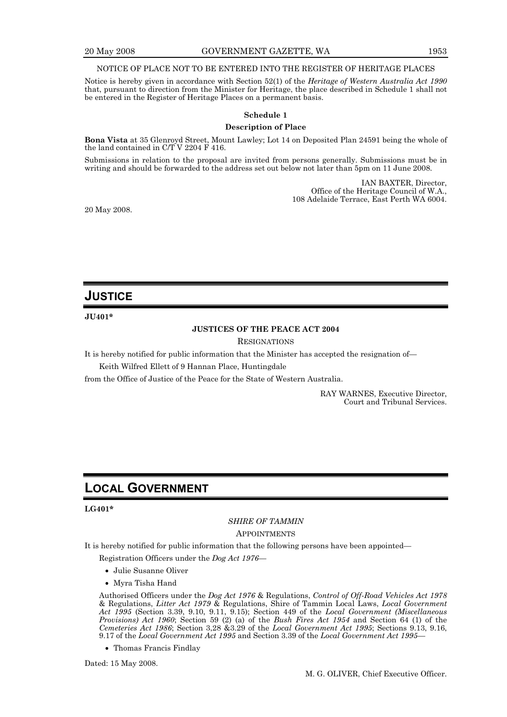#### NOTICE OF PLACE NOT TO BE ENTERED INTO THE REGISTER OF HERITAGE PLACES

Notice is hereby given in accordance with Section 52(1) of the *Heritage of Western Australia Act 1990* that, pursuant to direction from the Minister for Heritage, the place described in Schedule 1 shall not be entered in the Register of Heritage Places on a permanent basis.

#### **Schedule 1**

#### **Description of Place**

**Bona Vista** at 35 Glenroyd Street, Mount Lawley; Lot 14 on Deposited Plan 24591 being the whole of the land contained in C/T V 2204 F 416.

Submissions in relation to the proposal are invited from persons generally. Submissions must be in writing and should be forwarded to the address set out below not later than 5pm on 11 June 2008.

> IAN BAXTER, Director, Office of the Heritage Council of W.A., 108 Adelaide Terrace, East Perth WA 6004.

20 May 2008.

## **JUSTICE**

#### **JU401\***

#### **JUSTICES OF THE PEACE ACT 2004**

#### **RESIGNATIONS**

It is hereby notified for public information that the Minister has accepted the resignation of—

Keith Wilfred Ellett of 9 Hannan Place, Huntingdale

from the Office of Justice of the Peace for the State of Western Australia.

RAY WARNES, Executive Director, Court and Tribunal Services.

## **LOCAL GOVERNMENT**

#### **LG401\***

### *SHIRE OF TAMMIN*

#### APPOINTMENTS

It is hereby notified for public information that the following persons have been appointed—

Registration Officers under the *Dog Act 1976*—

- Julie Susanne Oliver
- Myra Tisha Hand

Authorised Officers under the *Dog Act 1976* & Regulations, *Control of Off-Road Vehicles Act 1978* & Regulations, *Litter Act 1979* & Regulations, Shire of Tammin Local Laws, *Local Government Act 1995* (Section 3.39, 9.10, 9.11, 9.15); Section 449 of the *Local Government (Miscellaneous Provisions) Act 1960*; Section 59 (2) (a) of the *Bush Fires Act 1954* and Section 64 (1) of the *Cemeteries Act 1986*; Section 3,28 &3.29 of the *Local Government Act 1995*; Sections 9.13, 9.16, 9.17 of the *Local Government Act 1995* and Section 3.39 of the *Local Government Act 1995*—

• Thomas Francis Findlay

Dated: 15 May 2008.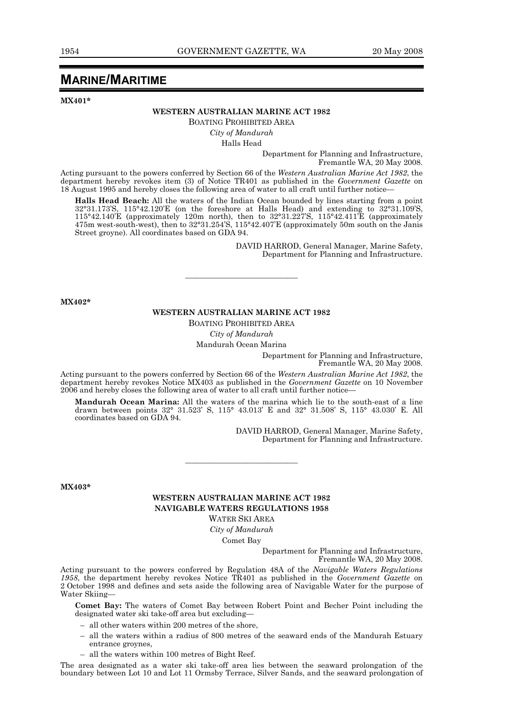## **MARINE/MARITIME**

**MX401\*** 

#### **WESTERN AUSTRALIAN MARINE ACT 1982**

BOATING PROHIBITED AREA

*City of Mandurah* 

Halls Head

Department for Planning and Infrastructure, Fremantle WA, 20 May 2008.

Acting pursuant to the powers conferred by Section 66 of the *Western Australian Marine Act 1982*, the department hereby revokes item (3) of Notice TR401 as published in the *Government Gazette* on 18 August 1995 and hereby closes the following area of water to all craft until further notice—

**Halls Head Beach:** All the waters of the Indian Ocean bounded by lines starting from a point 32°31.173'S, 115°42.120'E (on the foreshore at Halls Head) and extending to 32°31.109'S, 115°42.140'E (approximately 120m north), then to 32°31.227'S, 115°42.411'E (approximately 475m west-south-west), then to 32°31.254'S, 115°42.407'E (approximately 50m south on the Janis Street groyne). All coordinates based on GDA 94.

> DAVID HARROD, General Manager, Marine Safety, Department for Planning and Infrastructure.

**MX402\*** 

#### **WESTERN AUSTRALIAN MARINE ACT 1982**

———————————

BOATING PROHIBITED AREA

#### *City of Mandurah*

Mandurah Ocean Marina

Department for Planning and Infrastructure, Fremantle WA, 20 May 2008.

Acting pursuant to the powers conferred by Section 66 of the *Western Australian Marine Act 1982*, the department hereby revokes Notice MX403 as published in the *Government Gazette* on 10 November 2006 and hereby closes the following area of water to all craft until further notice—

**Mandurah Ocean Marina:** All the waters of the marina which lie to the south-east of a line drawn between points 32° 31.523' S, 115° 43.013' E and 32° 31.508' S, 115° 43.030' E. All coordinates based on GDA 94.

> DAVID HARROD, General Manager, Marine Safety, Department for Planning and Infrastructure.

**MX403\*** 

Water Skiing—

#### **WESTERN AUSTRALIAN MARINE ACT 1982 NAVIGABLE WATERS REGULATIONS 1958**  WATER SKI AREA

———————————

*City of Mandurah* 

Comet Bay

Department for Planning and Infrastructure, Fremantle WA, 20 May 2008.

Acting pursuant to the powers conferred by Regulation 48A of the *Navigable Waters Regulations 1958*, the department hereby revokes Notice TR401 as published in the *Government Gazette* on 2 October 1998 and defines and sets aside the following area of Navigable Water for the purpose of

**Comet Bay:** The waters of Comet Bay between Robert Point and Becher Point including the designated water ski take-off area but excluding—

- all other waters within 200 metres of the shore,
- all the waters within a radius of 800 metres of the seaward ends of the Mandurah Estuary entrance groynes,
- all the waters within 100 metres of Bight Reef.

The area designated as a water ski take-off area lies between the seaward prolongation of the boundary between Lot 10 and Lot 11 Ormsby Terrace, Silver Sands, and the seaward prolongation of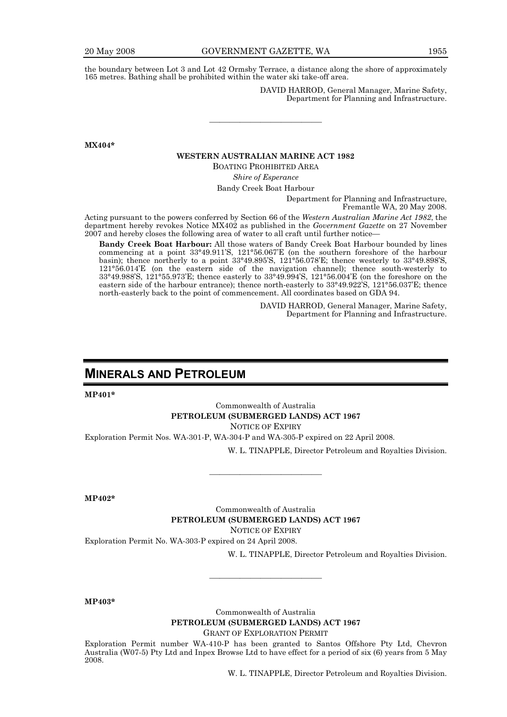the boundary between Lot 3 and Lot 42 Ormsby Terrace, a distance along the shore of approximately 165 metres. Bathing shall be prohibited within the water ski take-off area.

> DAVID HARROD, General Manager, Marine Safety, Department for Planning and Infrastructure.

**MX404\*** 

#### **WESTERN AUSTRALIAN MARINE ACT 1982**

———————————

BOATING PROHIBITED AREA

*Shire of Esperance* 

Bandy Creek Boat Harbour

Department for Planning and Infrastructure, Fremantle WA, 20 May 2008.

Acting pursuant to the powers conferred by Section 66 of the *Western Australian Marine Act 1982*, the department hereby revokes Notice MX402 as published in the *Government Gazette* on 27 November 2007 and hereby closes the following area of water to all craft until further notice—

**Bandy Creek Boat Harbour:** All those waters of Bandy Creek Boat Harbour bounded by lines commencing at a point 33°49.911'S, 121°56.067'E (on the southern foreshore of the harbour basin); thence northerly to a point 33°49.895'S, 121°56.078'E; thence westerly to 33°49.898'S, 121°56.014'E (on the eastern side of the navigation channel); thence south-westerly to 33°49.988'S, 121°55.973'E; thence easterly to 33°49.994'S, 121°56.004'E (on the foreshore on the eastern side of the harbour entrance); thence north-easterly to 33°49.922'S, 121°56.037'E; thence north-easterly back to the point of commencement. All coordinates based on GDA 94.

> DAVID HARROD, General Manager, Marine Safety, Department for Planning and Infrastructure.

## **MINERALS AND PETROLEUM**

**MP401\*** 

Commonwealth of Australia **PETROLEUM (SUBMERGED LANDS) ACT 1967**  NOTICE OF EXPIRY

———————————

Exploration Permit Nos. WA-301-P, WA-304-P and WA-305-P expired on 22 April 2008.

W. L. TINAPPLE, Director Petroleum and Royalties Division.

**MP402\*** 

Commonwealth of Australia **PETROLEUM (SUBMERGED LANDS) ACT 1967**  NOTICE OF EXPIRY

Exploration Permit No. WA-303-P expired on 24 April 2008.

W. L. TINAPPLE, Director Petroleum and Royalties Division.

**MP403\*** 

Commonwealth of Australia **PETROLEUM (SUBMERGED LANDS) ACT 1967**  GRANT OF EXPLORATION PERMIT

———————————

Exploration Permit number WA-410-P has been granted to Santos Offshore Pty Ltd, Chevron Australia (W07-5) Pty Ltd and Inpex Browse Ltd to have effect for a period of six (6) years from 5 May 2008.

W. L. TINAPPLE, Director Petroleum and Royalties Division.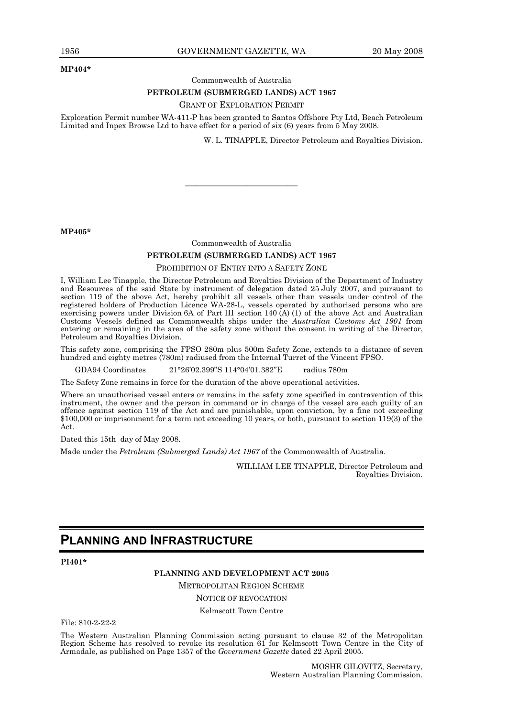#### **MP404\***

Commonwealth of Australia

#### **PETROLEUM (SUBMERGED LANDS) ACT 1967**

#### GRANT OF EXPLORATION PERMIT

Exploration Permit number WA-411-P has been granted to Santos Offshore Pty Ltd, Beach Petroleum Limited and Inpex Browse Ltd to have effect for a period of six (6) years from 5 May 2008.

W. L. TINAPPLE, Director Petroleum and Royalties Division.

**MP405\*** 

Commonwealth of Australia

———————————

#### **PETROLEUM (SUBMERGED LANDS) ACT 1967**

#### PROHIBITION OF ENTRY INTO A SAFETY ZONE

I, William Lee Tinapple, the Director Petroleum and Royalties Division of the Department of Industry and Resources of the said State by instrument of delegation dated 25 July 2007, and pursuant to section 119 of the above Act, hereby prohibit all vessels other than vessels under control of the registered holders of Production Licence WA-28-L, vessels operated by authorised persons who are exercising powers under Division 6A of Part III section 140 (A) (1) of the above Act and Australian Customs Vessels defined as Commonwealth ships under the *Australian Customs Act 1901* from entering or remaining in the area of the safety zone without the consent in writing of the Director, Petroleum and Royalties Division.

This safety zone, comprising the FPSO 280m plus 500m Safety Zone, extends to a distance of seven hundred and eighty metres (780m) radiused from the Internal Turret of the Vincent FPSO.

GDA94 Coordinates 21°26'02.399"S 114°04'01.382''E radius 780m

The Safety Zone remains in force for the duration of the above operational activities.

Where an unauthorised vessel enters or remains in the safety zone specified in contravention of this instrument, the owner and the person in command or in charge of the vessel are each guilty of an offence against section 119 of the Act and are punishable, upon conviction, by a fine not exceeding \$100,000 or imprisonment for a term not exceeding 10 years, or both, pursuant to section 119(3) of the Act.

Dated this 15th day of May 2008.

Made under the *Petroleum (Submerged Lands) Act 1967* of the Commonwealth of Australia.

WILLIAM LEE TINAPPLE, Director Petroleum and Royalties Division.

## **PLANNING AND INFRASTRUCTURE**

**PI401\*** 

#### **PLANNING AND DEVELOPMENT ACT 2005**

METROPOLITAN REGION SCHEME

NOTICE OF REVOCATION

Kelmscott Town Centre

File: 810-2-22-2

The Western Australian Planning Commission acting pursuant to clause 32 of the Metropolitan Region Scheme has resolved to revoke its resolution 61 for Kelmscott Town Centre in the City of Armadale, as published on Page 1357 of the *Government Gazette* dated 22 April 2005.

> MOSHE GILOVITZ, Secretary, Western Australian Planning Commission.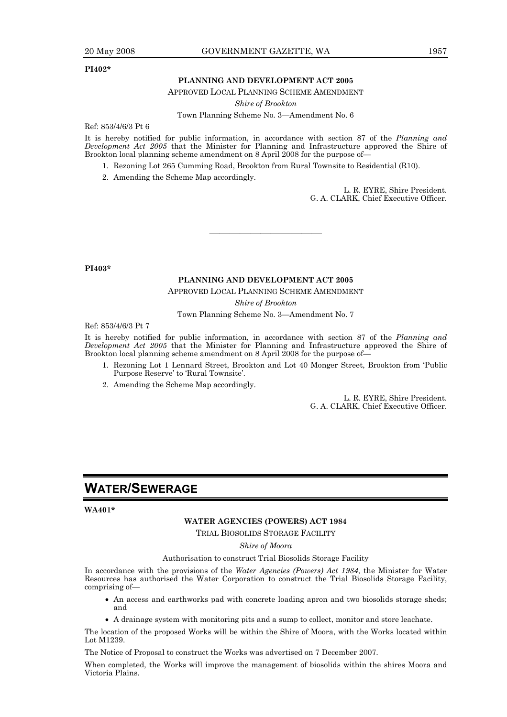#### **PI402\***

#### **PLANNING AND DEVELOPMENT ACT 2005**

APPROVED LOCAL PLANNING SCHEME AMENDMENT

*Shire of Brookton* 

Town Planning Scheme No. 3—Amendment No. 6

Ref: 853/4/6/3 Pt 6

It is hereby notified for public information, in accordance with section 87 of the *Planning and Development Act 2005* that the Minister for Planning and Infrastructure approved the Shire of Brookton local planning scheme amendment on 8 April 2008 for the purpose of-

- 1. Rezoning Lot 265 Cumming Road, Brookton from Rural Townsite to Residential (R10).
- 2. Amending the Scheme Map accordingly.

L. R. EYRE, Shire President. G. A. CLARK, Chief Executive Officer.

**PI403\*** 

#### **PLANNING AND DEVELOPMENT ACT 2005**

———————————

APPROVED LOCAL PLANNING SCHEME AMENDMENT

*Shire of Brookton* 

Town Planning Scheme No. 3—Amendment No. 7

Ref: 853/4/6/3 Pt 7

It is hereby notified for public information, in accordance with section 87 of the *Planning and Development Act 2005* that the Minister for Planning and Infrastructure approved the Shire of Brookton local planning scheme amendment on 8 April 2008 for the purpose of—

- 1. Rezoning Lot 1 Lennard Street, Brookton and Lot 40 Monger Street, Brookton from 'Public Purpose Reserve' to 'Rural Townsite'.
- 2. Amending the Scheme Map accordingly.

L. R. EYRE, Shire President. G. A. CLARK, Chief Executive Officer.

## **WATER/SEWERAGE**

#### **WA401\***

#### **WATER AGENCIES (POWERS) ACT 1984**

TRIAL BIOSOLIDS STORAGE FACILITY

*Shire of Moora* 

Authorisation to construct Trial Biosolids Storage Facility

In accordance with the provisions of the *Water Agencies (Powers) Act 1984*, the Minister for Water Resources has authorised the Water Corporation to construct the Trial Biosolids Storage Facility, comprising of—

- An access and earthworks pad with concrete loading apron and two biosolids storage sheds; and
- A drainage system with monitoring pits and a sump to collect, monitor and store leachate.

The location of the proposed Works will be within the Shire of Moora, with the Works located within Lot M1239.

The Notice of Proposal to construct the Works was advertised on 7 December 2007.

When completed, the Works will improve the management of biosolids within the shires Moora and Victoria Plains.